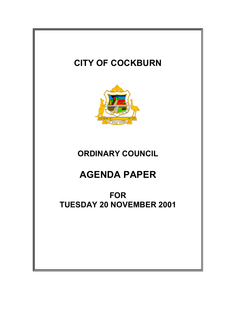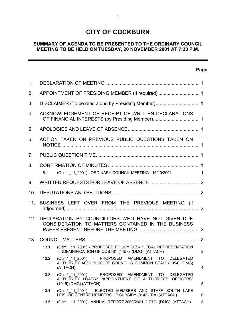# **CITY OF COCKBURN**

# **SUMMARY OF AGENDA TO BE PRESENTED TO THE ORDINARY COUNCIL MEETING TO BE HELD ON TUESDAY, 20 NOVEMBER 2001 AT 7:30 P.M.**

# **Page**

 $\overline{a}$ 

| $\mathbf 1$ .   |                                                                                                         |                                                                                                                                              |                |  |  |
|-----------------|---------------------------------------------------------------------------------------------------------|----------------------------------------------------------------------------------------------------------------------------------------------|----------------|--|--|
| 2.              |                                                                                                         |                                                                                                                                              |                |  |  |
| 3.              |                                                                                                         |                                                                                                                                              |                |  |  |
| 4.              | ACKNOWLEDGEMENT OF RECEIPT OF WRITTEN DECLARATIONS                                                      |                                                                                                                                              |                |  |  |
| 5.              |                                                                                                         |                                                                                                                                              |                |  |  |
| 6.              | ACTION TAKEN ON PREVIOUS PUBLIC QUESTIONS TAKEN ON                                                      |                                                                                                                                              |                |  |  |
| 7 <sub>1</sub>  |                                                                                                         |                                                                                                                                              |                |  |  |
| 8.              |                                                                                                         |                                                                                                                                              |                |  |  |
|                 | (Ocm1_11_2001) - ORDINARY COUNCIL MEETING - 16/10/2001<br>8.1<br>1                                      |                                                                                                                                              |                |  |  |
| 9.              |                                                                                                         |                                                                                                                                              |                |  |  |
| 10.             |                                                                                                         |                                                                                                                                              |                |  |  |
| 11.             | BUSINESS LEFT OVER FROM THE PREVIOUS MEETING (If                                                        |                                                                                                                                              |                |  |  |
| 12 <sub>1</sub> | DECLARATION BY COUNCILLORS WHO HAVE NOT GIVEN DUE<br>CONSIDERATION TO MATTERS CONTAINED IN THE BUSINESS |                                                                                                                                              |                |  |  |
| 13.             |                                                                                                         |                                                                                                                                              |                |  |  |
|                 | 13.1                                                                                                    | (Ocm1 11 2001) - PROPOSED POLICY SES4 "LEGAL REPRESENTATION<br>- INDEMNIFICATION OF COSTS" (1157) (DMG) (ATTACH)                             | $\overline{2}$ |  |  |
|                 | 13.2                                                                                                    | (Ocm1 11 2001) - PROPOSED AMENDMENT TO<br><b>DELEGATED</b><br>AUTHORITY AES2 "USE OF COUNCIL'S COMMON SEAL" (1054) (DMG)<br>(ATTACH)         | 4              |  |  |
|                 | 13.3                                                                                                    | (Ocm1 11 2001) - PROPOSED AMENDMENT TO<br><b>DELEGATED</b><br>AUTHORITY LGAES2 "APPOINTMENT OF AUTHORISED OFFICERS"<br>(1015) (DMG) (ATTACH) | 5              |  |  |
|                 | 13.4                                                                                                    | (Ocm1 11 2001) - ELECTED MEMBERS AND STAFF SOUTH LAKE<br>LEISURE CENTRE MEMBERSHIP SUBSIDY (8143) (RA) (ATTACH)                              | 6              |  |  |
|                 | 13.5                                                                                                    | (Ocm1 11 2001) - ANNUAL REPORT 2000/2001 (1712) (DMG) (ATTACH)                                                                               | 8              |  |  |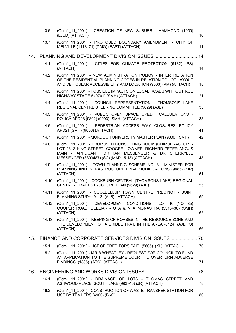|     | 13.6  | (Ocm1 11 2001) - CREATION OF NEW SUBURB - HAMMOND (1050)<br>(LJCD) (ATTACH)                                                                                                                                                    | 10 |
|-----|-------|--------------------------------------------------------------------------------------------------------------------------------------------------------------------------------------------------------------------------------|----|
|     | 13.7  | (Ocm1 11 2001) - PROPOSED BOUNDARY AMENDMENT - CITY OF<br>MELVILLE (1113471) (DMG) (EAST) (ATTACH)                                                                                                                             | 11 |
| 14. |       |                                                                                                                                                                                                                                | 14 |
|     | 14.1  | (Ocm1 11 2001) - CITIES FOR CLIMATE PROTECTION (9132) (PS)<br>(ATTACH)                                                                                                                                                         | 14 |
|     | 14.2  | (Ocm1 11 2001) - NEW ADMINISTRATION POLICY - INTERPRETATION<br>OF THE RESIDENTIAL PLANNING CODES IN RELATION TO LOT LAYOUT<br>AND VEHICULAR ACCESSIBILITY AND LOCATION (9003) (VM) (ATTACH)                                    | 18 |
|     | 14.3  | (Ocm1 11 2001) - POSSIBLE IMPACTS ON LOCAL ROADS WITHOUT ROE<br>HIGHWAY STAGE 8 (9701) (SMH) (ATTACH)                                                                                                                          | 21 |
|     | 14.4  | (Ocm1 11 2001) - COUNCIL REPRESENTATION - THOMSONS LAKE<br>REGIONAL CENTRE STEERING COMMITTEE (9629) (AJB)                                                                                                                     | 35 |
|     | 14.5  | (Ocm1 11 2001) - PUBLIC OPEN SPACE CREDIT CALCULATIONS -<br>POLICY APD28 (9802) (9003) (SMH) (ATTACH)                                                                                                                          | 38 |
|     | 14.6  | (Ocm1 11 2001) - PEDESTRIAN ACCESS WAY CLOSURES POLICY<br>APD21 (SMH) (9003) (ATTACH)                                                                                                                                          | 41 |
|     | 14.7  | (Ocm1 11 2001) - MURDOCH UNIVERSITY MASTER PLAN (9806) (SMH)                                                                                                                                                                   | 42 |
|     | 14.8  | (Ocm1 11 2001) - PROPOSED CONSULTING ROOM (CHIROPRACTOR) -<br>LOT 28; 3 KING STREET, COOGEE - OWNER: RICHARD PETER ANGUS<br>MAIN - APPLICANT: DR IAN MESSENGER & DR SHERRYLLE<br>MESSENGER (3309487) (SC) (MAP 15.13) (ATTACH) | 48 |
|     | 14.9  | (Ocm1 11 2001) - TOWN PLANNING SCHEME NO. 3 - MINISTER FOR<br>PLANNING AND INFRASTRUCTURE FINAL MODIFICATIONS (9485) (MR)<br>(ATTACH)                                                                                          | 51 |
|     | 14.10 | (Ocm1 11 2001) - COCKBURN CENTRAL (THOMSONS LAKE) REGIONAL<br>CENTRE - DRAFT STRUCTURE PLAN (9629) (AJB)                                                                                                                       | 55 |
|     | 14.11 | (Ocm1_11_2001) - COOLBELLUP TOWN CENTRE PRECINCT - JOINT<br>PLANNING STUDY (9112) (AJB) (ATTACH)                                                                                                                               | 59 |
|     | 14.12 | (Ocm1_11_2001) - DEVELOPMENT CONDITIONS - LOT 10 (NO. 35)<br>COOPER ROAD, BEELIAR - G A & V A MONASTRA (5513438) (SMH)<br>(ATTACH)                                                                                             | 62 |
|     | 14.13 | (Ocm1 11 2001) - KEEPING OF HORSES IN THE RESOURCE ZONE AND<br>THE DEVELOPMENT OF A BRIDLE TRAIL IN THE AREA (8124) (AJB/PS)<br>(ATTACH)                                                                                       | 66 |
| 15. |       | FINANCE AND CORPORATE SERVICES DIVISION ISSUES 70                                                                                                                                                                              |    |
|     | 15.1  | (Ocm1 11 2001) - LIST OF CREDITORS PAID (5605) (KL) (ATTACH)                                                                                                                                                                   | 70 |
|     | 15.2  | (Ocm1 11 2001) - MR B WHEATLEY - REQUEST FOR COUNCIL TO FUND<br>AN APPLICATION TO THE SUPREME COURT TO OVERTURN ADVERSE<br>FINDINGS (1335) (ATC) (ATTACH)                                                                      | 71 |
| 16. |       |                                                                                                                                                                                                                                |    |
|     | 16.1  | (Ocm1 11 2001) - DRAINAGE OF LOTS - THOMAS STREET AND<br>ASHWOOD PLACE, SOUTH LAKE (993745) (JR) (ATTACH)                                                                                                                      | 78 |
|     | 16.2  | (Ocm1 11 2001) - CONSTRUCTION OF WASTE TRANSFER STATION FOR<br>USE BY TRAILERS (4900) (BKG)                                                                                                                                    | 80 |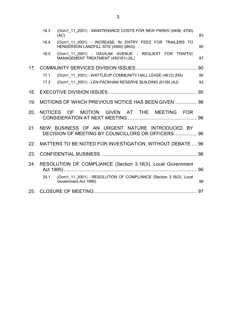|                 | (Ocm1 11 2001) - MAINTENANCE COSTS FOR NEW PARKS (5406; 4700)<br>16.3<br>(AC) |                                                                                                     |    |  |  |
|-----------------|-------------------------------------------------------------------------------|-----------------------------------------------------------------------------------------------------|----|--|--|
|                 | 16.4                                                                          | (Ocm1 11 2001) - INCREASE IN ENTRY FEES FOR TRAILERS TO<br>HENDERSON LANDFILL SITE (4900) (BKG)     | 85 |  |  |
|                 | 16.5                                                                          | (Ocm1 11 2001) - DAVILAK AVENUE - REQUEST FOR TRAFFIC<br>MANAGEMENT TREATMENT (450181) (SL)         | 87 |  |  |
| 17 <sub>1</sub> |                                                                               |                                                                                                     |    |  |  |
|                 | 17.1                                                                          | (Ocm1 11 2001) - WATTLEUP COMMUNITY HALL LEASE (4612) (RA)                                          | 90 |  |  |
|                 | 17.2                                                                          | (Ocm1_11_2001) - LEN PACKHAM RESERVE BUILDING (8138) (AJ)                                           | 93 |  |  |
| 18.             |                                                                               |                                                                                                     |    |  |  |
| 19.             |                                                                               | MOTIONS OF WHICH PREVIOUS NOTICE HAS BEEN GIVEN 96                                                  |    |  |  |
| 20.             |                                                                               | NOTICES OF MOTION GIVEN AT THE MEETING FOR                                                          |    |  |  |
| 21              |                                                                               | NEW BUSINESS OF AN URGENT NATURE INTRODUCED BY<br>DECISION OF MEETING BY COUNCILLORS OR OFFICERS 96 |    |  |  |
| 22.             |                                                                               | MATTERS TO BE NOTED FOR INVESTIGATION, WITHOUT DEBATE  96                                           |    |  |  |
| 23.             |                                                                               |                                                                                                     |    |  |  |
| 24.             |                                                                               | RESOLUTION OF COMPLIANCE (Section 3.18(3), Local Government                                         |    |  |  |
|                 | 24.1                                                                          | (Ocm1 11 2001) - RESOLUTION OF COMPLIANCE (Section 3.18(3), Local<br>Government Act 1995)           | 96 |  |  |
| 25.             |                                                                               |                                                                                                     |    |  |  |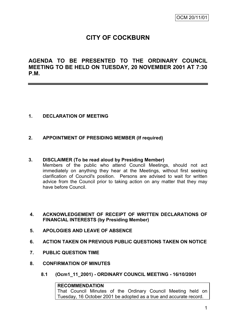# **CITY OF COCKBURN**

**AGENDA TO BE PRESENTED TO THE ORDINARY COUNCIL MEETING TO BE HELD ON TUESDAY, 20 NOVEMBER 2001 AT 7:30 P.M.**

# **1. DECLARATION OF MEETING**

### **2. APPOINTMENT OF PRESIDING MEMBER (If required)**

### **3. DISCLAIMER (To be read aloud by Presiding Member)**

Members of the public who attend Council Meetings, should not act immediately on anything they hear at the Meetings, without first seeking clarification of Council's position. Persons are advised to wait for written advice from the Council prior to taking action on any matter that they may have before Council.

- **4. ACKNOWLEDGEMENT OF RECEIPT OF WRITTEN DECLARATIONS OF FINANCIAL INTERESTS (by Presiding Member)**
- **5. APOLOGIES AND LEAVE OF ABSENCE**
- **6. ACTION TAKEN ON PREVIOUS PUBLIC QUESTIONS TAKEN ON NOTICE**
- **7. PUBLIC QUESTION TIME**
- **8. CONFIRMATION OF MINUTES**
	- **8.1 (Ocm1\_11\_2001) - ORDINARY COUNCIL MEETING - 16/10/2001**

### **RECOMMENDATION**

That Council Minutes of the Ordinary Council Meeting held on Tuesday, 16 October 2001 be adopted as a true and accurate record.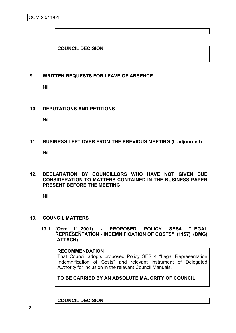# **COUNCIL DECISION**

### **9. WRITTEN REQUESTS FOR LEAVE OF ABSENCE**

Nil

### **10. DEPUTATIONS AND PETITIONS**

Nil

### **11. BUSINESS LEFT OVER FROM THE PREVIOUS MEETING (If adjourned)**

Nil

### **12. DECLARATION BY COUNCILLORS WHO HAVE NOT GIVEN DUE CONSIDERATION TO MATTERS CONTAINED IN THE BUSINESS PAPER PRESENT BEFORE THE MEETING**

Nil

### **13. COUNCIL MATTERS**

**13.1 (Ocm1\_11\_2001) - PROPOSED POLICY SES4 "LEGAL REPRESENTATION - INDEMNIFICATION OF COSTS" (1157) (DMG) (ATTACH)**

### **RECOMMENDATION**

That Council adopts proposed Policy SES 4 "Legal Representation Indemnification of Costs" and relevant instrument of Delegated Authority for inclusion in the relevant Council Manuals.

**TO BE CARRIED BY AN ABSOLUTE MAJORITY OF COUNCIL**

**COUNCIL DECISION**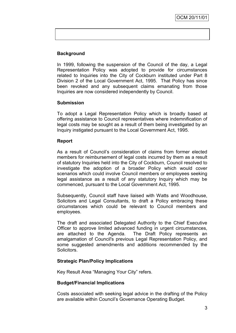# **Background**

In 1999, following the suspension of the Council of the day, a Legal Representation Policy was adopted to provide for circumstances related to Inquiries into the City of Cockburn instituted under Part 8 Division 2 of the Local Government Act, 1995. That Policy has since been revoked and any subsequent claims emanating from those Inquiries are now considered independently by Council.

# **Submission**

To adopt a Legal Representation Policy which is broadly based at offering assistance to Council representatives where indemnification of legal costs may be sought as a result of them being investigated by an Inquiry instigated pursuant to the Local Government Act, 1995.

### **Report**

As a result of Council"s consideration of claims from former elected members for reimbursement of legal costs incurred by them as a result of statutory Inquiries held into the City of Cockburn, Council resolved to investigate the adoption of a broader Policy which would cover scenarios which could involve Council members or employees seeking legal assistance as a result of any statutory Inquiry which may be commenced, pursuant to the Local Government Act, 1995.

Subsequently, Council staff have liaised with Watts and Woodhouse, Solicitors and Legal Consultants, to draft a Policy embracing these circumstances which could be relevant to Council members and employees.

The draft and associated Delegated Authority to the Chief Executive Officer to approve limited advanced funding in urgent circumstances, are attached to the Agenda. The Draft Policy represents an amalgamation of Council's previous Legal Representation Policy, and some suggested amendments and additions recommended by the Solicitors.

### **Strategic Plan/Policy Implications**

Key Result Area "Managing Your City" refers.

### **Budget/Financial Implications**

Costs associated with seeking legal advice in the drafting of the Policy are available within Council"s Governance Operating Budget.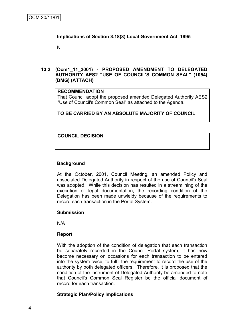### **Implications of Section 3.18(3) Local Government Act, 1995**

Nil

### **13.2 (Ocm1\_11\_2001) - PROPOSED AMENDMENT TO DELEGATED AUTHORITY AES2 "USE OF COUNCIL'S COMMON SEAL" (1054) (DMG) (ATTACH)**

### **RECOMMENDATION**

That Council adopt the proposed amended Delegated Authority AES2 "Use of Council's Common Seal" as attached to the Agenda.

# **TO BE CARRIED BY AN ABSOLUTE MAJORITY OF COUNCIL**

# **COUNCIL DECISION**

### **Background**

At the October, 2001, Council Meeting, an amended Policy and associated Delegated Authority in respect of the use of Council's Seal was adopted. While this decision has resulted in a streamlining of the execution of legal documentation, the recording condition of the Delegation has been made unwieldy because of the requirements to record each transaction in the Portal System.

### **Submission**

N/A

### **Report**

With the adoption of the condition of delegation that each transaction be separately recorded in the Council Portal system, it has now become necessary on occasions for each transaction to be entered into the system twice, to fulfil the requirement to record the use of the authority by both delegated officers. Therefore, it is proposed that the condition of the instrument of Delegated Authority be amended to note that Council's Common Seal Register be the official document of record for each transaction.

### **Strategic Plan/Policy Implications**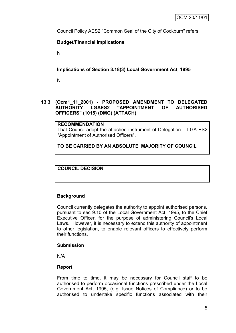Council Policy AES2 "Common Seal of the City of Cockburn" refers.

# **Budget/Financial Implications**

Nil

**Implications of Section 3.18(3) Local Government Act, 1995**

Nil

# **13.3 (Ocm1\_11\_2001) - PROPOSED AMENDMENT TO DELEGATED AUTHORITY LGAES2 "APPOINTMENT OF AUTHORISED OFFICERS" (1015) (DMG) (ATTACH)**

### **RECOMMENDATION**

That Council adopt the attached instrument of Delegation – LGA ES2 "Appointment of Authorised Officers".

**TO BE CARRIED BY AN ABSOLUTE MAJORITY OF COUNCIL**

**COUNCIL DECISION**

# **Background**

Council currently delegates the authority to appoint authorised persons, pursuant to sec 9.10 of the Local Government Act, 1995, to the Chief Executive Officer, for the purpose of administering Council's Local Laws. However, it is necessary to extend this authority of appointment to other legislation, to enable relevant officers to effectively perform their functions.

### **Submission**

N/A

# **Report**

From time to time, it may be necessary for Council staff to be authorised to perform occasional functions prescribed under the Local Government Act, 1995, (e.g. Issue Notices of Compliance) or to be authorised to undertake specific functions associated with their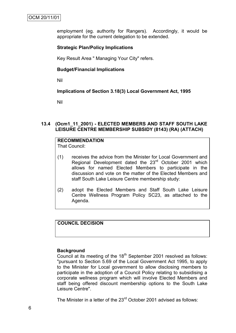employment (eg. authority for Rangers). Accordingly, it would be appropriate for the current delegation to be extended.

### **Strategic Plan/Policy Implications**

Key Result Area " Managing Your City" refers.

### **Budget/Financial Implications**

Nil

### **Implications of Section 3.18(3) Local Government Act, 1995**

Nil

### **13.4 (Ocm1\_11\_2001) - ELECTED MEMBERS AND STAFF SOUTH LAKE LEISURE CENTRE MEMBERSHIP SUBSIDY (8143) (RA) (ATTACH)**

# **RECOMMENDATION**

That Council:

- (1) receives the advice from the Minister for Local Government and Regional Development dated the 23<sup>rd</sup> October 2001 which allows for named Elected Members to participate in the discussion and vote on the matter of the Elected Members and staff South Lake Leisure Centre membership study:
- (2) adopt the Elected Members and Staff South Lake Leisure Centre Wellness Program Policy SC23, as attached to the Agenda.

# **COUNCIL DECISION**

### **Background**

Council at its meeting of the  $18<sup>th</sup>$  September 2001 resolved as follows: "pursuant to Section 5.69 of the Local Government Act 1995, to apply to the Minister for Local government to allow disclosing members to participate in the adoption of a Council Policy relating to subsidising a corporate wellness program which will involve Elected Members and staff being offered discount membership options to the South Lake Leisure Centre".

The Minister in a letter of the 23<sup>rd</sup> October 2001 advised as follows: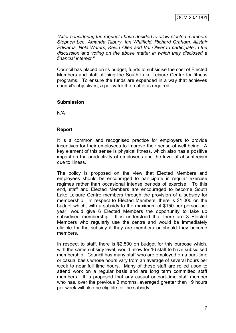*"After considering the request I have decided to allow elected members Stephen Lee, Amanda Tilbury, Ian Whitfield, Richard Graham, Alistair Edwards, Nola Waters, Kevin Allen and Val Oliver to participate in the discussion and voting on the above matter in which they disclosed a financial interest."*

Council has placed on its budget, funds to subsidise the cost of Elected Members and staff utilising the South Lake Leisure Centre for fitness programs. To ensure the funds are expended in a way that achieves council's objectives, a policy for the matter is required.

### **Submission**

N/A

### **Report**

It is a common and recognised practice for employers to provide incentives for their employees to improve their sense of well being. A key element of this sense is physical fitness, which also has a positive impact on the productivity of employees and the level of absenteeism due to illness.

The policy is proposed on the view that Elected Members and employees should be encouraged to participate in regular exercise regimes rather than occasional intense periods of exercise. To this end, staff and Elected Members are encouraged to become South Lake Leisure Centre members through the provision of a subsidy for membership. In respect to Elected Members, there is \$1,000 on the budget which, with a subsidy to the maximum of \$150 per person per year, would give 6 Elected Members the opportunity to take up subsidised membership. It is understood that there are 3 Elected Members who regularly use the centre and would be immediately eligible for the subsidy if they are members or should they become members.

In respect to staff, there is \$2,500 on budget for this purpose which, with the same subsidy level, would allow for 16 staff to have subsidised membership. Council has many staff who are employed on a part-time or casual basis whose hours vary from an average of several hours per week to near full time hours. Many of these staff are relied upon to attend work on a regular basis and are long term committed staff members. It is proposed that any casual or part-time staff member who has, over the previous 3 months, averaged greater than 19 hours per week will also be eligible for the subsidy.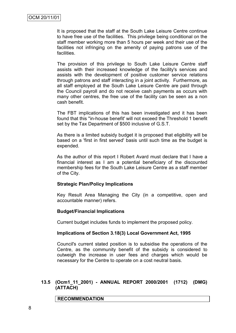It is proposed that the staff at the South Lake Leisure Centre continue to have free use of the facilities. This privilege being conditional on the staff member working more than 5 hours per week and their use of the facilities not infringing on the amenity of paying patrons use of the facilities.

The provision of this privilege to South Lake Leisure Centre staff assists with their increased knowledge of the facility's services and assists with the development of positive customer service relations through patrons and staff interacting in a joint activity. Furthermore, as all staff employed at the South Lake Leisure Centre are paid through the Council payroll and do not receive cash payments as occurs with many other centres, the free use of the facility can be seen as a non cash benefit.

The FBT implications of this has been investigated and it has been found that this ''in-house benefit' will not exceed the Threshold 1 benefit set by the Tax Department of \$500 inclusive of G.S.T.

As there is a limited subsidy budget it is proposed that eligibility will be based on a 'first in first served' basis until such time as the budget is expended.

As the author of this report I Robert Avard must declare that I have a financial interest as I am a potential beneficiary of the discounted membership fees for the South Lake Leisure Centre as a staff member of the City.

### **Strategic Plan/Policy Implications**

Key Result Area Managing the City (in a competitive, open and accountable manner) refers.

### **Budget/Financial Implications**

Current budget includes funds to implement the proposed policy.

### **Implications of Section 3.18(3) Local Government Act, 1995**

Council's current stated position is to subsidise the operations of the Centre, as the community benefit of the subsidy is considered to outweigh the increase in user fees and charges which would be necessary for the Centre to operate on a cost neutral basis.

### **13.5 (Ocm1\_11\_2001) - ANNUAL REPORT 2000/2001 (1712) (DMG) (ATTACH)**

**RECOMMENDATION**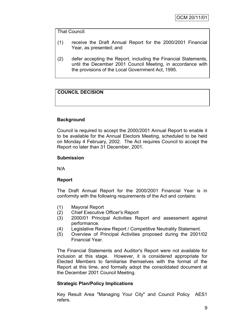That Council:

- (1) receive the Draft Annual Report for the 2000/2001 Financial Year, as presented; and
- (2) defer accepting the Report, including the Financial Statements, until the December 2001 Council Meeting, in accordance with the provisions of the Local Government Act, 1995.

# **COUNCIL DECISION**

# **Background**

Council is required to accept the 2000/2001 Annual Report to enable it to be available for the Annual Electors Meeting, scheduled to be held on Monday 4 February, 2002. The Act requires Council to accept the Report no later than 31 December, 2001.

# **Submission**

N/A

# **Report**

The Draft Annual Report for the 2000/2001 Financial Year is in conformity with the following requirements of the Act and contains:

- (1) Mayoral Report
- (2) Chief Executive Officer's Report
- (3) 2000/01 Principal Activities Report and assessment against performance.
- (4) Legislative Review Report / Competitive Neutrality Statement.
- (5) Overview of Principal Activities proposed during the 2001/02 Financial Year.

The Financial Statements and Auditor's Report were not available for inclusion at this stage. However, it is considered appropriate for Elected Members to familiarise themselves with the format of the Report at this time, and formally adopt the consolidated document at the December 2001 Council Meeting.

# **Strategic Plan/Policy Implications**

Key Result Area "Managing Your City" and Council Policy AES1 refers.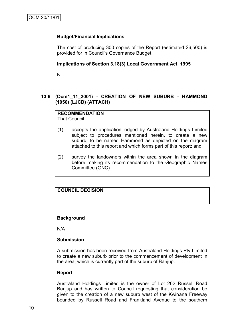### **Budget/Financial Implications**

The cost of producing 300 copies of the Report (estimated \$6,500) is provided for in Council's Governance Budget.

### **Implications of Section 3.18(3) Local Government Act, 1995**

Nil.

# **13.6 (Ocm1\_11\_2001) - CREATION OF NEW SUBURB - HAMMOND (1050) (LJCD) (ATTACH)**

### **RECOMMENDATION**

That Council:

- (1) accepts the application lodged by Australand Holdings Limited subject to procedures mentioned herein, to create a new suburb, to be named Hammond as depicted on the diagram attached to this report and which forms part of this report; and
- (2) survey the landowners within the area shown in the diagram before making its recommendation to the Geographic Names Committee (GNC).

# **COUNCIL DECISION**

### **Background**

N/A

### **Submission**

A submission has been received from Australand Holdings Pty Limited to create a new suburb prior to the commencement of development in the area, which is currently part of the suburb of Banjup.

### **Report**

Australand Holdings Limited is the owner of Lot 202 Russell Road Banjup and has written to Council requesting that consideration be given to the creation of a new suburb west of the Kwinana Freeway bounded by Russell Road and Frankland Avenue to the southern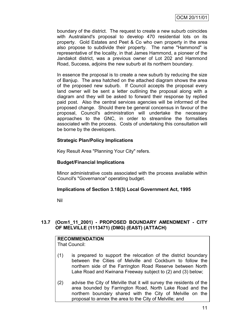boundary of the district. The request to create a new suburb coincides with Australand's proposal to develop 470 residential lots on its property. Gold Estates and Peet & Co who own property in the area also propose to subdivide their property. The name "Hammond" is representative of the locality, in that James Hammond, a pioneer of the Jandakot district, was a previous owner of Lot 202 and Hammond Road, Success, adjoins the new suburb at its northern boundary.

In essence the proposal is to create a new suburb by reducing the size of Banjup. The area hatched on the attached diagram shows the area of the proposed new suburb. If Council accepts the proposal every land owner will be sent a letter outlining the proposal along with a diagram and they will be asked to forward their response by replied paid post. Also the central services agencies will be informed of the proposed change. Should there be general concensus in favour of the proposal, Council's administration will undertake the necessary approaches to the GNC, in order to streamline the formalities associated with the process. Costs of undertaking this consultation will be borne by the developers.

# **Strategic Plan/Policy Implications**

Key Result Area "Planning Your City" refers.

# **Budget/Financial Implications**

Minor administrative costs associated with the process available within Council's "Governance" operating budget.

# **Implications of Section 3.18(3) Local Government Act, 1995**

Nil

# **13.7 (Ocm1\_11\_2001) - PROPOSED BOUNDARY AMENDMENT - CITY OF MELVILLE (1113471) (DMG) (EAST) (ATTACH)**

| <b>RECOMMENDATION</b> |  |
|-----------------------|--|
| <b>That Council:</b>  |  |

- (1) is prepared to support the relocation of the district boundary between the Cities of Melville and Cockburn to follow the northern side of the Farrington Road Reserve between North Lake Road and Kwinana Freeway subject to (2) and (3) below;
- (2) advise the City of Melville that it will survey the residents of the area bounded by Farrington Road, North Lake Road and the northern boundary shared with the City of Melville on the proposal to annex the area to the City of Melville; and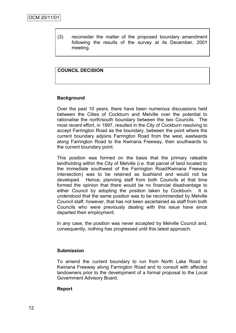(3) reconsider the matter of the proposed boundary amendment following the results of the survey at its December, 2001 meeting.

### **COUNCIL DECISION**

### **Background**

Over the past 10 years, there have been numerous discussions held between the Cities of Cockburn and Melville over the potential to rationalise the north/south boundary between the two Councils. The most recent effort, in 1997, resulted in the City of Cockburn resolving to accept Farrington Road as the boundary, between the point where the current boundary adjoins Farrington Road from the west, eastwards along Farrington Road to the Kwinana Freeway, then southwards to the current boundary point.

This position was formed on the basis that the primary rateable landholding within the City of Melville (i.e. that parcel of land located to the immediate southwest of the Farrington Road/Kwinana Freeway intersection) was to be retained as bushland and would not be developed. Hence, planning staff from both Councils at that time formed the opinion that there would be no financial disadvantage to either Council by adopting the position taken by Cockburn. It is understood that the same position was to be recommended by Melville Council staff, however, that has not been ascertained as staff from both Councils who were previously dealing with this issue have since departed their employment.

In any case, the position was never accepted by Melville Council and, consequently, nothing has progressed until this latest approach.

### **Submission**

To amend the current boundary to run from North Lake Road to Kwinana Freeway along Farrington Road and to consult with affected landowners prior to the development of a formal proposal to the Local Government Advisory Board.

### **Report**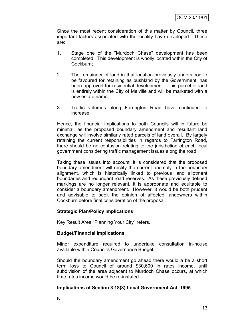Since the most recent consideration of this matter by Council, three important factors associated with the locality have developed. These are:

- 1. Stage one of the "Murdoch Chase" development has been completed. This development is wholly located within the City of Cockburn;
- 2. The remainder of land in that location previously understood to be favoured for retaining as bushland by the Government, has been approved for residential development. This parcel of land is entirely within the City of Melville and will be marketed with a new estate name;
- 3. Traffic volumes along Farrington Road have continued to increase.

Hence, the financial implications to both Councils will in future be minimal, as the proposed boundary amendment and resultant land exchange will involve similarly rated parcels of land overall. By largely retaining the current responsibilities in regards to Farrington Road, there should be no confusion relating to the jurisdiction of each local government considering traffic management issues along the road.

Taking these issues into account, it is considered that the proposed boundary amendment will rectify the current anomaly in the boundary alignment, which is historically linked to previous land allotment boundaries and redundant road reserves. As these previously defined markings are no longer relevant, it is appropriate and equitable to consider a boundary amendment. However, it would be both prudent and advisable to seek the opinion of affected landowners within Cockburn before final consideration of the proposal.

### **Strategic Plan/Policy Implications**

Key Result Area "Planning Your City" refers.

### **Budget/Financial Implications**

Minor expenditure required to undertake consultation in-house available within Council's Governance Budget.

Should the boundary amendment go ahead there would a be a short term loss to Council of around \$30,600 in rates income, until subdivision of the area adjacent to Murdoch Chase occurs, at which time rates income would be re-instated..

### **Implications of Section 3.18(3) Local Government Act, 1995**

Nil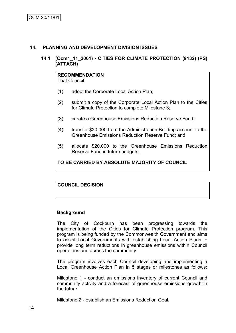### **14. PLANNING AND DEVELOPMENT DIVISION ISSUES**

### **14.1 (Ocm1\_11\_2001) - CITIES FOR CLIMATE PROTECTION (9132) (PS) (ATTACH)**

# **RECOMMENDATION**

That Council:

- (1) adopt the Corporate Local Action Plan;
- (2) submit a copy of the Corporate Local Action Plan to the Cities for Climate Protection to complete Milestone 3;
- (3) create a Greenhouse Emissions Reduction Reserve Fund;
- (4) transfer \$20,000 from the Administration Building account to the Greenhouse Emissions Reduction Reserve Fund; and
- (5) allocate \$20,000 to the Greenhouse Emissions Reduction Reserve Fund in future budgets.

### **TO BE CARRIED BY ABSOLUTE MAJORITY OF COUNCIL**

### **COUNCIL DECISION**

### **Background**

The City of Cockburn has been progressing towards the implementation of the Cities for Climate Protection program. This program is being funded by the Commonwealth Government and aims to assist Local Governments with establishing Local Action Plans to provide long term reductions in greenhouse emissions within Council operations and across the community.

The program involves each Council developing and implementing a Local Greenhouse Action Plan in 5 stages or milestones as follows:

Milestone 1 - conduct an emissions inventory of current Council and community activity and a forecast of greenhouse emissions growth in the future.

Milestone 2 - establish an Emissions Reduction Goal.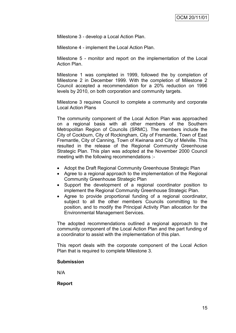Milestone 3 - develop a Local Action Plan.

Milestone 4 - implement the Local Action Plan.

Milestone 5 - monitor and report on the implementation of the Local Action Plan.

Milestone 1 was completed in 1999, followed the by completion of Milestone 2 in December 1999. With the completion of Milestone 2 Council accepted a recommendation for a 20% reduction on 1996 levels by 2010, on both corporation and community targets.

Milestone 3 requires Council to complete a community and corporate Local Action Plans

The community component of the Local Action Plan was approached on a regional basis with all other members of the Southern Metropolitan Region of Councils (SRMC). The members include the City of Cockburn, City of Rockingham, City of Fremantle, Town of East Fremantle, City of Canning, Town of Kwinana and City of Melville. This resulted in the release of the Regional Community Greenhouse Strategic Plan. This plan was adopted at the November 2000 Council meeting with the following recommendations :-

- Adopt the Draft Regional Community Greenhouse Strategic Plan
- Agree to a regional approach to the implementation of the Regional Community Greenhouse Strategic Plan
- Support the development of a regional coordinator position to implement the Regional Community Greenhouse Strategic Plan.
- Agree to provide proportional funding of a regional coordinator, subject to all the other members Councils committing to the position, and to modify the Principal Activity Plan allocation for the Environmental Management Services.

The adopted recommendations outlined a regional approach to the community component of the Local Action Plan and the part funding of a coordinator to assist with the implementation of this plan.

This report deals with the corporate component of the Local Action Plan that is required to complete Milestone 3.

### **Submission**

N/A

**Report**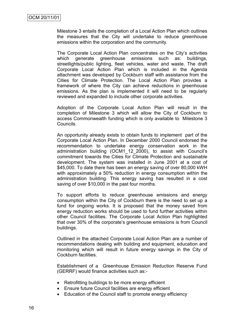Milestone 3 entails the completion of a Local Action Plan which outlines the measures that the City will undertake to reduce greenhouse emissions within the corporation and the community.

The Corporate Local Action Plan concentrates on the City"s activities which generate greenhouse emissions such as: buildings, streetlights/public lighting, fleet vehicles, water and waste. The draft Corporate Local Action Plan which is included in the Agenda attachment was developed by Cockburn staff with assistance from the Cities for Climate Protection. The Local Action Plan provides a framework of where the City can achieve reductions in greenhouse emissions. As the plan is implemented it will need to be regularly reviewed and expanded to include other corporate activities.

Adoption of the Corporate Local Action Plan will result in the completion of Milestone 3 which will allow the City of Cockburn to access Commonwealth funding which is only available to Milestone 3 Councils.

An opportunity already exists to obtain funds to implement part of the Corporate Local Action Plan. In December 2000 Council endorsed the recommendation to undertake energy conservation work in the administration building (OCM1\_12\_2000), to assist with Council"s commitment towards the Cities for Climate Protection and sustainable development. The system was installed in June 2001 at a cost of \$45,000. To date there has been an energy saving of over 80,000 kWH with approximately a 50% reduction in energy consumption within the administration building. This energy saving has resulted in a cost saving of over \$10,000 in the past four months.

To support efforts to reduce greenhouse emissions and energy consumption within the City of Cockburn there is the need to set up a fund for ongoing works. It is proposed that the money saved from energy reduction works should be used to fund further activities within other Council facilities. The Corporate Local Action Plan highlighted that over 30% of the corporate"s greenhouse emissions is from Council buildings.

Outlined in the attached Corporate Local Action Plan are a number of recommendations dealing with building and equipment, education and monitoring which will result in future energy savings in the City of Cockburn facilities.

Establishment of a Greenhouse Emission Reduction Reserve Fund (GERRF) would finance activities such as:-

- Retrofitting buildings to be more energy efficient
- Ensure future Council facilities are energy efficient
- Education of the Council staff to promote energy efficiency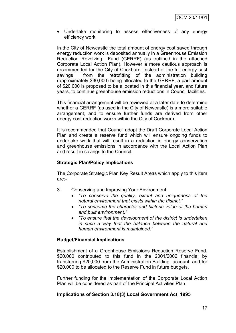Undertake monitoring to assess effectiveness of any energy efficiency work

In the City of Newcastle the total amount of energy cost saved through energy reduction work is deposited annually in a Greenhouse Emission Reduction Revolving Fund (GERRF) (as outlined in the attached Corporate Local Action Plan). However a more cautious approach is recommended for the City of Cockburn. Instead of the full energy cost savings from the retrofitting of the administration building (approximately \$30,000) being allocated to the GERRF, a part amount of \$20,000 is proposed to be allocated in this financial year, and future years, to continue greenhouse emission reductions in Council facilities.

This financial arrangement will be reviewed at a later date to determine whether a GERRF (as used in the City of Newcastle) is a more suitable arrangement, and to ensure further funds are derived from other energy cost reduction works within the City of Cockburn.

It is recommended that Council adopt the Draft Corporate Local Action Plan and create a reserve fund which will ensure ongoing funds to undertake work that will result in a reduction in energy conservation and greenhouse emissions in accordance with the Local Action Plan and result in savings to the Council.

# **Strategic Plan/Policy Implications**

The Corporate Strategic Plan Key Result Areas which apply to this item are:-

- 3. Conserving and Improving Your Environment
	- *"To conserve the quality, extent and uniqueness of the natural environment that exists within the district."*
	- *"To conserve the character and historic value of the human and built environment."*
	- *"To ensure that the development of the district is undertaken in such a way that the balance between the natural and human environment is maintained."*

### **Budget/Financial Implications**

Establishment of a Greenhouse Emissions Reduction Reserve Fund. \$20,000 contributed to this fund in the 2001/2002 financial by transferring \$20,000 from the Administration Building account, and for \$20,000 to be allocated to the Reserve Fund in future budgets.

Further funding for the implementation of the Corporate Local Action Plan will be considered as part of the Principal Activities Plan.

### **Implications of Section 3.18(3) Local Government Act, 1995**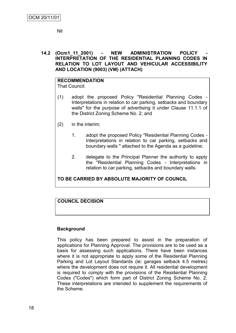Nil

### **14.2 (Ocm1\_11\_2001) - NEW ADMINISTRATION POLICY - INTERPRETATION OF THE RESIDENTIAL PLANNING CODES IN RELATION TO LOT LAYOUT AND VEHICULAR ACCESSIBILITY AND LOCATION (9003) (VM) (ATTACH)**

# **RECOMMENDATION**

That Council:

- (1) adopt the proposed Policy "Residential Planning Codes Interpretations in relation to car parking, setbacks and boundary walls" for the purpose of advertising it under Clause 11.1.1 of the District Zoning Scheme No. 2; and
- (2) in the interim;
	- 1. adopt the proposed Policy "Residential Planning Codes Interpretations in relation to car parking, setbacks and boundary walls " attached to the Agenda as a guideline;
	- 2. delegate to the Principal Planner the authority to apply the "Residential Planning Codes - Interpretations in relation to car parking, setbacks and boundary walls.

# **TO BE CARRIED BY ABSOLUTE MAJORITY OF COUNCIL**

# **COUNCIL DECISION**

# **Background**

This policy has been prepared to assist in the preparation of applications for Planning Approval. The provisions are to be used as a basis for assessing such applications. There have been instances where it is not appropriate to apply some of the Residential Planning Parking and Lot Layout Standards (ie: garages setback 4.5 metres) where the development does not require it. All residential development is required to comply with the provisions of the Residential Planning Codes ("Codes") which form part of District Zoning Scheme No. 2. These interpretations are intended to supplement the requirements of the Scheme.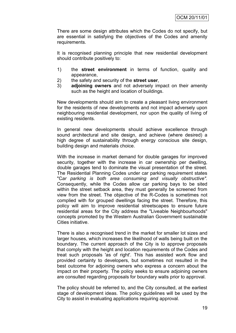There are some design attributes which the Codes do not specify, but are essential in satisfying the objectives of the Codes and amenity requirements.

It is recognised planning principle that new residential development should contribute positively to:

- 1) the **street environment** in terms of function, quality and appearance,
- 2) the safety and security of the **street user**,
- 3) **adjoining owners** and not adversely impact on their amenity such as the height and location of buildings.

New developments should aim to create a pleasant living environment for the residents of new developments and not impact adversely upon neighbouring residential development, nor upon the quality of living of existing residents.

In general new developments should achieve excellence through sound architectural and site design, and achieve (where desired) a high degree of sustainability through energy conscious site design, building design and materials choice.

With the increase in market demand for double garages for improved security, together with the increase in car ownership per dwelling, double garages tend to dominate the visual presentation of the street. The Residential Planning Codes under car parking requirement states "C*ar parking is both area consuming and visually obstructive".*  Consequently, while the Codes allow car parking bays to be sited within the street setback area, they must generally be screened from view from the street. The objective of the R-Codes is sometimes not complied with for grouped dwellings facing the street. Therefore, this policy will aim to improve residential streetscapes to ensure future residential areas for the City address the "Liveable Neighbourhoods" concepts promoted by the Western Australian Government sustainable Cities initiative.

There is also a recognised trend in the market for smaller lot sizes and larger houses, which increases the likelihood of walls being built on the boundary. The current approach of the City is to approve proposals that comply with the height and location requirements of the Codes and treat such proposals 'as of right'. This has assisted work flow and provided certainty to developers, but sometimes not resulted in the best outcome for adjoining owners who express a concern about the impact on their property. The policy seeks to ensure adjoining owners are consulted regarding proposals for boundary walls prior to approval.

The policy should be referred to, and the City consulted, at the earliest stage of development ideas. The policy guidelines will be used by the City to assist in evaluating applications requiring approval.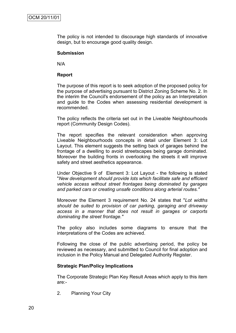The policy is not intended to discourage high standards of innovative design, but to encourage good quality design.

### **Submission**

N/A

### **Report**

The purpose of this report is to seek adoption of the proposed policy for the purpose of advertising pursuant to District Zoning Scheme No. 2. In the interim the Council's endorsement of the policy as an Interpretation and guide to the Codes when assessing residential development is recommended.

The policy reflects the criteria set out in the Liveable Neighbourhoods report (Community Design Codes).

The report specifies the relevant consideration when approving Liveable Neighbourhoods concepts in detail under Element 3: Lot Layout. This element suggests the setting back of garages behind the frontage of a dwelling to avoid streetscapes being garage dominated. Moreover the building fronts in overlooking the streets it will improve safety and street aesthetics appearance.

Under Objective 9 of Element 3: Lot Layout - the following is stated "*New development should provide lots which facilitate safe and efficient vehicle access without street frontages being dominated by garages and parked cars or creating unsafe conditions along arterial routes."*

Moreover the Element 3 requirement No. 24 states that "*Lot widths should be suited to provision of car parking, garaging and driveway access in a manner that does not result in garages or carports dominating the street frontage."*

The policy also includes some diagrams to ensure that the interpretations of the Codes are achieved.

Following the close of the public advertising period, the policy be reviewed as necessary, and submitted to Council for final adoption and inclusion in the Policy Manual and Delegated Authority Register.

### **Strategic Plan/Policy Implications**

The Corporate Strategic Plan Key Result Areas which apply to this item are:-

2. Planning Your City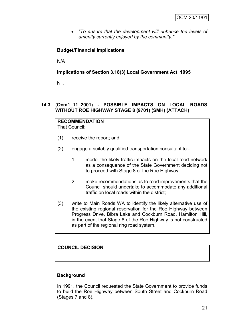*"To ensure that the development will enhance the levels of amenity currently enjoyed by the community."*

# **Budget/Financial Implications**

N/A

# **Implications of Section 3.18(3) Local Government Act, 1995**

Nil.

# **14.3 (Ocm1\_11\_2001) - POSSIBLE IMPACTS ON LOCAL ROADS WITHOUT ROE HIGHWAY STAGE 8 (9701) (SMH) (ATTACH)**

# **RECOMMENDATION**

That Council:

- (1) receive the report; and
- (2) engage a suitably qualified transportation consultant to:-
	- 1. model the likely traffic impacts on the local road network as a consequence of the State Government deciding not to proceed with Stage 8 of the Roe Highway;
	- 2. make recommendations as to road improvements that the Council should undertake to accommodate any additional traffic on local roads within the district;
- (3) write to Main Roads WA to identify the likely alternative use of the existing regional reservation for the Roe Highway between Progress Drive, Bibra Lake and Cockburn Road, Hamilton Hill, in the event that Stage 8 of the Roe Highway is not constructed as part of the regional ring road system.

# **COUNCIL DECISION**

# **Background**

In 1991, the Council requested the State Government to provide funds to build the Roe Highway between South Street and Cockburn Road (Stages 7 and 8).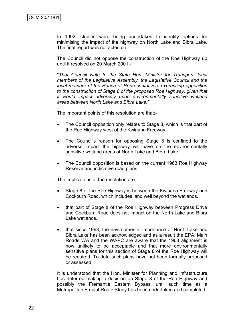In 1992, studies were being undertaken to identify options for minimising the impact of the highway on North Lake and Bibra Lake. The final report was not acted on.

The Council did not oppose the construction of the Roe Highway up until it resolved on 20 March 2001:-

"*That Council write to the State Hon. Minister for Transport, local members of the Legislative Assembly, the Legislative Council and the local member of the House of Representatives, expressing opposition to the construction of Stage 8 of the proposed Roe Highway, given that it would impact adversely upon environmentally sensitive wetland areas between North Lake and Bibra Lake."*

The important points of this resolution are that:-

- The Council opposition only relates to Stage 8, which is that part of the Roe Highway west of the Kwinana Freeway.
- The Council's reason for opposing Stage 8 is confined to the adverse impact the highway will have on the environmentally sensitive wetland areas of North Lake and Bibra Lake.
- The Council opposition is based on the current 1963 Roe Highway Reserve and indicative road plans.

The implications of the resolution are:-

- Stage 8 of the Roe Highway is between the Kwinana Freeway and Cockburn Road, which includes land well beyond the wetlands.
- that part of Stage 8 of the Roe Highway between Progress Drive and Cockburn Road does not impact on the North Lake and Bibra Lake wetlands.
- that since 1963, the environmental importance of North Lake and Bibra Lake has been acknowledged and as a result the EPA, Main Roads WA and the WAPC are aware that the 1963 alignment is now unlikely to be acceptable and that more environmentally sensitive plans for this section of Stage 8 of the Roe Highway will be required. To date such plans have not been formally proposed or assessed.

It is understood that the Hon. Minister for Planning and Infrastructure has deferred making a decision on Stage 8 of the Roe Highway and possibly the Fremantle Eastern Bypass, until such time as a Metropolitan Freight Route Study has been undertaken and completed.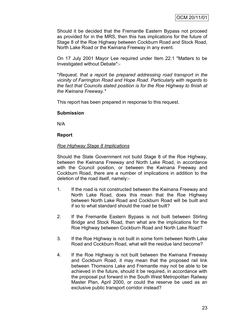Should it be decided that the Fremantle Eastern Bypass not proceed as provided for in the MRS, then this has implications for the future of Stage 8 of the Roe Highway between Cockburn Road and Stock Road, North Lake Road or the Kwinana Freeway in any event.

On 17 July 2001 Mayor Lee required under Item 22.1 "Matters to be Investigated without Debate":-

"*Request, that a report be prepared addressing road transport in the vicinity of Farrington Road and Hope Road. Particularly with regards to the fact that Councils stated position is for the Roe Highway to finish at the Kwinana Freeway."*

This report has been prepared in response to this request.

### **Submission**

N/A

### **Report**

### *Roe Highway Stage 8 Implications*

Should the State Government not build Stage 8 of the Roe Highway, between the Kwinana Freeway and North Lake Road, in accordance with the Council position, or between the Kwinana Freeway and Cockburn Road, there are a number of implications in addition to the deletion of the road itself, namely:-

- 1. If the road is not constructed between the Kwinana Freeway and North Lake Road, does this mean that the Roe Highway between North Lake Road and Cockburn Road will be built and if so to what standard should the road be built?
- 2. If the Fremantle Eastern Bypass is not built between Stirling Bridge and Stock Road, then what are the implications for the Roe Highway between Cockburn Road and North Lake Road?
- 3. If the Roe Highway is not built in some form between North Lake Road and Cockburn Road, what will the residue land become?
- 4. If the Roe Highway is not built between the Kwinana Freeway and Cockburn Road, it may mean that the proposed rail link between Thomsons Lake and Fremantle may not be able to be achieved in the future, should it be required, in accordance with the proposal put forward in the South West Metropolitan Railway Master Plan, April 2000, or could the reserve be used as an exclusive public transport corridor instead?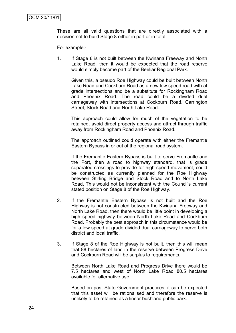These are all valid questions that are directly associated with a decision not to build Stage 8 either in part or in total.

For example:-

1. If Stage 8 is not built between the Kwinana Freeway and North Lake Road, then it would be expected that the road reserve would simply become part of the Beeliar Regional Park.

Given this, a pseudo Roe Highway could be built between North Lake Road and Cockburn Road as a new low speed road with at grade intersections and be a substitute for Rockingham Road and Phoenix Road. The road could be a divided dual carriageway with intersections at Cockburn Road, Carrington Street, Stock Road and North Lake Road.

This approach could allow for much of the vegetation to be retained, avoid direct property access and attract through traffic away from Rockingham Road and Phoenix Road.

The approach outlined could operate with either the Fremantle Eastern Bypass in or out of the regional road system.

If the Fremantle Eastern Bypass is built to serve Fremantle and the Port, then a road to highway standard, that is grade separated crossings to provide for high speed movement, could be constructed as currently planned for the Roe Highway between Stirling Bridge and Stock Road and to North Lake Road. This would not be inconsistent with the Council's current stated position on Stage 8 of the Roe Highway.

- 2. If the Fremantle Eastern Bypass is not built and the Roe Highway is not constructed between the Kwinana Freeway and North Lake Road, then there would be little point in developing a high speed highway between North Lake Road and Cockburn Road. Probably the best approach in this circumstance would be for a low speed at grade divided dual carriageway to serve both district and local traffic.
- 3. If Stage 8 of the Roe Highway is not built, then this will mean that 88 hectares of land in the reserve between Progress Drive and Cockburn Road will be surplus to requirements.

Between North Lake Road and Progress Drive there would be 7.5 hectares and west of North Lake Road 80.5 hectares available for alternative use.

Based on past State Government practices, it can be expected that this asset will be rationalised and therefore the reserve is unlikely to be retained as a linear bushland public park.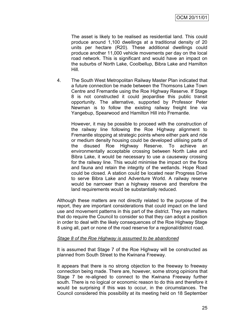The asset is likely to be realised as residential land. This could produce around 1,100 dwellings at a traditional density of 20 units per hectare (R20). These additional dwellings could produce another 11,000 vehicle movements per day on the local road network. This is significant and would have an impact on the suburbs of North Lake, Coolbellup, Bibra Lake and Hamilton Hill.

4. The South West Metropolitan Railway Master Plan indicated that a future connection be made between the Thomsons Lake Town Centre and Fremantle using the Roe Highway Reserve. If Stage 8 is not constructed it could jeopardise this public transit opportunity. The alternative, supported by Professor Peter Newman is to follow the existing railway freight line via Yangebup, Spearwood and Hamilton Hill into Fremantle.

However, it may be possible to proceed with the construction of the railway line following the Roe Highway alignment to Fremantle stopping at strategic points where either park and ride or medium density housing could be developed utilising parts of the disused Roe Highway Reserve. To achieve an environmentally acceptable crossing between North Lake and Bibra Lake, it would be necessary to use a causeway crossing for the railway line. This would minimise the impact on the flora and fauna and retain the integrity of the wetlands. Hope Road could be closed. A station could be located near Progress Drive to serve Bibra Lake and Adventure World. A railway reserve would be narrower than a highway reserve and therefore the land requirements would be substantially reduced.

Although these matters are not directly related to the purpose of the report, they are important considerations that could impact on the land use and movement patterns in this part of the district. They are matters that do require the Council to consider so that they can adopt a position in order to deal with the likely consequences of the Roe Highway Stage 8 using all, part or none of the road reserve for a regional/district road.

### *Stage 8 of the Roe Highway is assumed to be abandoned*

It is assumed that Stage 7 of the Roe Highway will be constructed as planned from South Street to the Kwinana Freeway.

It appears that there is no strong objection to the freeway to freeway connection being made. There are, however, some strong opinions that Stage 7 be re-aligned to connect to the Kwinana Freeway further south. There is no logical or economic reason to do this and therefore it would be surprising if this was to occur, in the circumstances. The Council considered this possibility at its meeting held on 18 September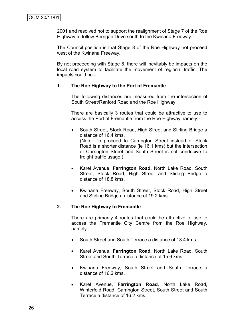2001 and resolved not to support the realignment of Stage 7 of the Roe Highway to follow Berrigan Drive south to the Kwinana Freeway.

The Council position is that Stage 8 of the Roe Highway not proceed west of the Kwinana Freeway.

By not proceeding with Stage 8, there will inevitably be impacts on the local road system to facilitate the movement of regional traffic. The impacts could be:-

### **1. The Roe Highway to the Port of Fremantle**

The following distances are measured from the intersection of South Street/Ranford Road and the Roe Highway.

There are basically 3 routes that could be attractive to use to access the Port of Fremantle from the Roe Highway namely:-

- South Street, Stock Road, High Street and Stirling Bridge a distance of 16.4 kms. (Note: To proceed to Carrington Street instead of Stock Road is a shorter distance (ie 16.1 kms) but the intersection of Carrington Street and South Street is not conducive to freight traffic usage.)
- Karel Avenue, **Farrington Road,** North Lake Road, South Street, Stock Road, High Street and Stirling Bridge a distance of 18.8 kms.
- Kwinana Freeway, South Street, Stock Road, High Street and Stirling Bridge a distance of 19.2 kms.

### **2. The Roe Highway to Fremantle**

There are primarily 4 routes that could be attractive to use to access the Fremantle City Centre from the Roe Highway, namely:-

- South Street and South Terrace a distance of 13.4 kms.
- Karel Avenue, **Farrington Road**, North Lake Road, South Street and South Terrace a distance of 15.6 kms.
- Kwinana Freeway, South Street and South Terrace a distance of 16.2 kms.
- Karel Avenue, **Farrington Road**, North Lake Road, Winterfold Road, Carrington Street, South Street and South Terrace a distance of 16.2 kms.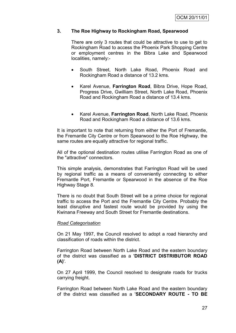### **3. The Roe Highway to Rockingham Road, Spearwood**

There are only 3 routes that could be attractive to use to get to Rockingham Road to access the Phoenix Park Shopping Centre or employment centres in the Bibra Lake and Spearwood localities, namely:-

- South Street, North Lake Road, Phoenix Road and Rockingham Road a distance of 13.2 kms.
- Karel Avenue, **Farrington Road**, Bibra Drive, Hope Road, Progress Drive, Gwilliam Street, North Lake Road, Phoenix Road and Rockingham Road a distance of 13.4 kms.
- Karel Avenue, **Farrington Road**, North Lake Road, Phoenix Road and Rockingham Road a distance of 13.6 kms.

It is important to note that returning from either the Port of Fremantle, the Fremantle City Centre or from Spearwood to the Roe Highway, the same routes are equally attractive for regional traffic.

All of the optional destination routes utilise Farrington Road as one of the "attractive" connectors.

This simple analysis, demonstrates that Farrington Road will be used by regional traffic as a means of conveniently connecting to either Fremantle Port, Fremantle or Spearwood in the absence of the Roe Highway Stage 8.

There is no doubt that South Street will be a prime choice for regional traffic to access the Port and the Fremantle City Centre. Probably the least disruptive and fastest route would be provided by using the Kwinana Freeway and South Street for Fremantle destinations.

### *Road Categorisation*

On 21 May 1997, the Council resolved to adopt a road hierarchy and classification of roads within the district.

Farrington Road between North Lake Road and the eastern boundary of the district was classified as a '**DISTRICT DISTRIBUTOR ROAD (A)**'.

On 27 April 1999, the Council resolved to designate roads for trucks carrying freight.

Farrington Road between North Lake Road and the eastern boundary of the district was classified as a '**SECONDARY ROUTE - TO BE**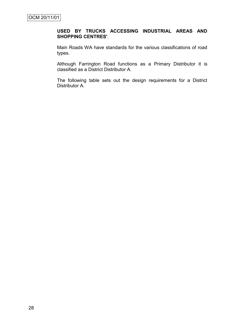# **USED BY TRUCKS ACCESSING INDUSTRIAL AREAS AND SHOPPING CENTRES'**.

Main Roads WA have standards for the various classifications of road types.

Although Farrington Road functions as a Primary Distributor it is classified as a District Distributor A.

The following table sets out the design requirements for a District Distributor A.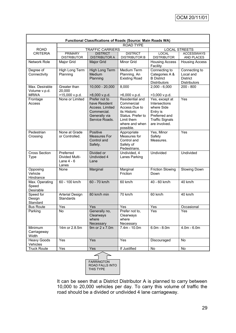| Functional Classifications of Roads (Source: Main Roads WA) |                                                      |                                                                                                     |                                                                                                                                  |                                                                                                                       |                                                                      |  |
|-------------------------------------------------------------|------------------------------------------------------|-----------------------------------------------------------------------------------------------------|----------------------------------------------------------------------------------------------------------------------------------|-----------------------------------------------------------------------------------------------------------------------|----------------------------------------------------------------------|--|
| <b>ROAD TYPE</b>                                            |                                                      |                                                                                                     |                                                                                                                                  |                                                                                                                       |                                                                      |  |
| <b>ROAD</b>                                                 | <b>TRAFFIC CARRIERS</b>                              |                                                                                                     |                                                                                                                                  | <b>LOCAL STREETS</b>                                                                                                  |                                                                      |  |
| <b>CRITERIA</b>                                             | <b>PRIMARY</b><br><b>DISTRIBUTOR</b>                 | <b>DISTRICT</b><br><b>DISTRIBUTOR A</b>                                                             | <b>DISTRICT</b><br><b>DISTRIBUTOR B</b>                                                                                          | <b>LOCAL</b><br><b>DISTRIBUTOR</b>                                                                                    | <b>ACCESSWAYS</b><br>AND PLACES                                      |  |
| Network Role                                                | Major Grid                                           | Major Grid                                                                                          | Minor Grid                                                                                                                       | <b>Housing Access</b><br>Facility                                                                                     | <b>Housing Access</b>                                                |  |
| Degree of<br>Connectivity                                   | High Long Term<br>Planning                           | High Long Term<br>Medium<br>Planning                                                                | <b>Medium Term</b><br>Planning. An<br><b>Existing Road</b>                                                                       | Connecting to<br>Categories A &<br><b>B</b> District<br><b>Distributors</b>                                           | Connecting to<br>Local and<br><b>District</b><br><b>Distributors</b> |  |
| Max. Desirable<br>Volume v.p.d.<br><b>MRWA</b>              | Greater than<br>20,000<br>>15,000 v.p.d.             | $10,000 - 20,000$<br>>8,000 v.p.d.                                                                  | 8,000<br>>6,000 v.p.d.                                                                                                           | $2,000 - 6,000$<br>>3,000 v.p.d.                                                                                      | $200 - 800$                                                          |  |
| Frontage<br>Access                                          | None or Limited                                      | Prefer not to<br>have Resident<br>Access. Limited<br>Commercial.<br>Generally via<br>Service Roads. | Residential and<br>Commercial<br>Access Due to<br>its Historic<br>Status. Prefer to<br>Limit them<br>where and when<br>possible. | Yes, except at<br>Intersections<br>where Side<br>Entry is<br>Preferred and<br><b>Traffic Signals</b><br>are involved. | Yes                                                                  |  |
| Pedestrian<br>Crossing                                      | None at Grade<br>or Controlled.                      | Positive<br><b>Measures For</b><br>Control and<br>Safety.                                           | Appropriate<br>Measures for<br>Control and<br>Safety of<br>Pedestrians.                                                          | Yes, Minor<br>Safety<br>Measures.                                                                                     | Yes                                                                  |  |
| <b>Cross Section</b><br><b>Type</b>                         | Preferred<br>Divided Multi-<br>Lane $4 - 6$<br>Lanes | Divided or<br>Undivided 4<br>Lane                                                                   | Undivided, 4<br>Lanes Parking                                                                                                    | <b>Undivided</b>                                                                                                      | Undivided                                                            |  |
| Opposing<br>Vehicle<br>Hindrance                            | None                                                 | Marginal                                                                                            | Marginal<br>Friction                                                                                                             | <b>Friction Slowing</b><br>Down                                                                                       | Slowing Down                                                         |  |
| Max. Operating<br>Speed<br>Desirable                        | 60 - 100 km/h                                        | 60 - 70 km/h                                                                                        | 60 km/h                                                                                                                          | 40 - 60 km/h                                                                                                          | 40 km/h                                                              |  |
| Speed for<br>Design<br>Standard                             | <b>Arterial Design</b><br>Standards                  | 80 km/h min                                                                                         | 70 km/h                                                                                                                          | 60 km/h                                                                                                               | 40 km/h                                                              |  |
| <b>Bus Route</b>                                            | Yes                                                  | Yes                                                                                                 | Yes                                                                                                                              | Yes                                                                                                                   | Occasional                                                           |  |
| Parking                                                     | <b>No</b>                                            | Generally no,<br>Clearways<br>where<br>Necessary                                                    | Prefer not to<br>Clearways<br>where<br>Necessary                                                                                 | Yes                                                                                                                   | Yes                                                                  |  |
| Minimum<br>Carriageway<br>Width                             | 14m or 2.8.5m                                        | 9m or 2 x 7.0m                                                                                      | 7.4m - 10.0m                                                                                                                     | $6.0m - 8.0m$                                                                                                         | $4.0m - 6.0m$                                                        |  |
| <b>Heavy Goods</b><br>Vehicles                              | Yes                                                  | Yes                                                                                                 | Yes                                                                                                                              | Discouraged                                                                                                           | <b>No</b>                                                            |  |
| <b>Truck Route</b>                                          | Yes                                                  | Yes                                                                                                 | If Justified                                                                                                                     | No                                                                                                                    | No                                                                   |  |
|                                                             |                                                      |                                                                                                     |                                                                                                                                  |                                                                                                                       |                                                                      |  |

**FARRINGTON** ROAD FALLS INTO THIS TYPE

It can be seen that a District Distributor A is planned to carry between 10,000 to 20,000 vehicles per day. To carry this volume of traffic the road should be a divided or undivided 4 lane carriageway.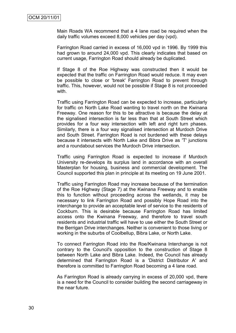Main Roads WA recommend that a 4 lane road be required when the daily traffic volumes exceed 8,000 vehicles per day (vpd).

Farrington Road carried in excess of 16,000 vpd in 1996. By 1999 this had grown to around 24,000 vpd. This clearly indicates that based on current usage, Farrington Road should already be duplicated.

If Stage 8 of the Roe Highway was constructed then it would be expected that the traffic on Farrington Road would reduce. It may even be possible to close or 'break' Farrington Road to prevent through traffic. This, however, would not be possible if Stage 8 is not proceeded with.

Traffic using Farrington Road can be expected to increase, particularly for traffic on North Lake Road wanting to travel north on the Kwinana Freeway. One reason for this to be attractive is because the delay at the signalised intersection is far less than that at South Street which provides for a four way intersection with left and right turn phases. Similarly, there is a four way signalised intersection at Murdoch Drive and South Street. Farrington Road is not burdened with these delays because it intersects with North Lake and Bibra Drive as 'T' junctions and a roundabout services the Murdoch Drive intersection.

Traffic using Farrington Road is expected to increase if Murdoch University re-develops its surplus land in accordance with an overall Masterplan for housing, business and commercial development. The Council supported this plan in principle at its meeting on 19 June 2001.

Traffic using Farrington Road may increase because of the termination of the Roe Highway (Stage 7) at the Kwinana Freeway and to enable this to function without proceeding across the wetlands, it may be necessary to link Farrington Road and possibly Hope Road into the interchange to provide an acceptable level of service to the residents of Cockburn. This is desirable because Farrington Road has limited access onto the Kwinana Freeway, and therefore to travel south residents and industrial traffic will have to use either the South Street or the Berrigan Drive interchanges. Neither is convenient to those living or working in the suburbs of Coolbellup, Bibra Lake, or North Lake.

To connect Farrington Road into the Roe/Kwinana Interchange is not contrary to the Council's opposition to the construction of Stage 8 between North Lake and Bibra Lake. Indeed, the Council has already determined that Farrington Road is a 'District Distributor A' and therefore is committed to Farrington Road becoming a 4 lane road.

As Farrington Road is already carrying in excess of 20,000 vpd, there is a need for the Council to consider building the second carriageway in the near future.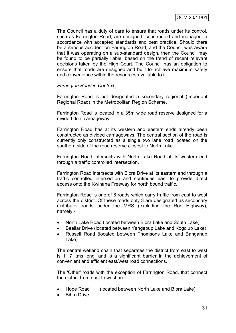The Council has a duty of care to ensure that roads under its control, such as Farrington Road, are designed, constructed and managed in accordance with accepted standards and best practice. Should there be a serious accident on Farrington Road, and the Council was aware that it was operating on a sub-standard design, then the Council may be found to be partially liable, based on the trend of recent relevant decisions taken by the High Court. The Council has an obligation to ensure that roads are designed and built to achieve maximum safety and convenience within the resources available to it.

### *Farrington Road in Context*

Farrington Road is not designated a secondary regional (Important Regional Road) in the Metropolitan Region Scheme.

Farrington Road is located in a 35m wide road reserve designed for a divided dual carriageway.

Farrington Road has at its western and eastern ends already been constructed as divided carriageways. The central section of the road is currently only constructed as a single two lane road located on the southern side of the road reserve closest to North Lake.

Farrington Road intersects with North Lake Road at its western end through a traffic controlled intersection.

Farrington Road intersects with Bibra Drive at its eastern end through a traffic controlled intersection and continues east to provide direct access onto the Kwinana Freeway for north bound traffic.

Farrington Road is one of 8 roads which carry traffic from east to west across the district. Of these roads only 3 are designated as secondary distributor roads under the MRS (excluding the Roe Highway), namely:-

- North Lake Road (located between Bibra Lake and South Lake)
- Beeliar Drive (located between Yangebup Lake and Kogolup Lake)
- Russell Road (located between Thomsons Lake and Banganup Lake)

The central wetland chain that separates the district from east to west is 11.7 kms long, and is a significant barrier in the achievement of convenient and efficient east/west road connections.

The 'Other' roads with the exception of Farrington Road, that connect the district from east to west are:-

- Hope Road (located between North Lake and Bibra Lake)
- Bibra Drive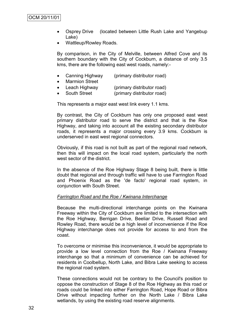- Osprey Drive (located between Little Rush Lake and Yangebup Lake)
- Wattleup/Rowley Roads.

By comparison, in the City of Melville, between Alfred Cove and its southern boundary with the City of Cockburn, a distance of only 3.5 kms, there are the following east west roads, namely:-

- Canning Highway (primary distributor road)
- Marmion Street
	- Leach Highway (primary distributor road)
- South Street (primary distributor road)

This represents a major east west link every 1.1 kms.

By contrast, the City of Cockburn has only one proposed east west primary distributor road to serve the district and that is the Roe Highway, and taking into account all the existing secondary distributor roads, it represents a major crossing every 3.9 kms. Cockburn is underserved in east west regional connectors.

Obviously, if this road is not built as part of the regional road network, then this will impact on the local road system, particularly the north west sector of the district.

In the absence of the Roe Highway Stage 8 being built, there is little doubt that regional and through traffic will have to use Farrington Road and Phoenix Road as the 'de facto' regional road system, in conjunction with South Street.

#### *Farrington Road and the Roe / Kwinana Interchange*

Because the multi-directional interchange points on the Kwinana Freeway within the City of Cockburn are limited to the intersection with the Roe Highway, Berrigan Drive, Beeliar Drive, Russell Road and Rowley Road, there would be a high level of inconvenience if the Roe Highway interchange does not provide for access to and from the coast.

To overcome or minimise this inconvenience, it would be appropriate to provide a low level connection from the Roe / Kwinana Freeway interchange so that a minimum of convenience can be achieved for residents in Coolbellup, North Lake, and Bibra Lake seeking to access the regional road system.

These connections would not be contrary to the Council's position to oppose the construction of Stage 8 of the Roe Highway as this road or roads could be linked into either Farrington Road, Hope Road or Bibra Drive without impacting further on the North Lake / Bibra Lake wetlands, by using the existing road reserve alignments.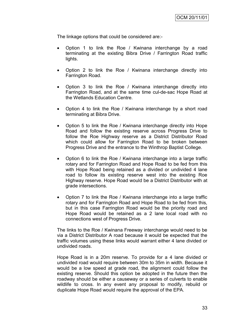The linkage options that could be considered are:-

- Option 1 to link the Roe / Kwinana interchange by a road terminating at the existing Bibra Drive / Farrington Road traffic lights.
- Option 2 to link the Roe / Kwinana interchange directly into Farrington Road.
- Option 3 to link the Roe / Kwinana interchange directly into Farrington Road, and at the same time cul-de-sac Hope Road at the Wetlands Education Centre.
- Option 4 to link the Roe / Kwinana interchange by a short road terminating at Bibra Drive.
- Option 5 to link the Roe / Kwinana interchange directly into Hope Road and follow the existing reserve across Progress Drive to follow the Roe Highway reserve as a District Distributor Road which could allow for Farrington Road to be broken between Progress Drive and the entrance to the Winthrop Baptist College.
- Option 6 to link the Roe / Kwinana interchange into a large traffic rotary and for Farrington Road and Hope Road to be fed from this with Hope Road being retained as a divided or undivided 4 lane road to follow its existing reserve west into the existing Roe Highway reserve. Hope Road would be a District Distributor with at grade intersections.
- Option 7 to link the Roe / Kwinana interchange into a large traffic rotary and for Farrington Road and Hope Road to be fed from this, but in this case Farrington Road would be the priority road and Hope Road would be retained as a 2 lane local road with no connections west of Progress Drive.

The links to the Roe / Kwinana Freeway interchange would need to be via a District Distributor A road because it would be expected that the traffic volumes using these links would warrant either 4 lane divided or undivided roads.

Hope Road is in a 20m reserve. To provide for a 4 lane divided or undivided road would require between 30m to 35m in width. Because it would be a low speed at grade road, the alignment could follow the existing reserve. Should this option be adopted in the future then the roadway should be either a causeway or a series of culverts to enable wildlife to cross. In any event any proposal to modify, rebuild or duplicate Hope Road would require the approval of the EPA.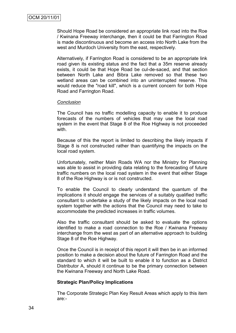Should Hope Road be considered an appropriate link road into the Roe / Kwinana Freeway interchange, then it could be that Farrington Road is made discontinuous and become an access into North Lake from the west and Murdoch University from the east, respectively.

Alternatively, if Farrington Road is considered to be an appropriate link road given its existing status and the fact that a 35m reserve already exists, it could be that Hope Road be cul-de-saced, and that section between North Lake and Bibra Lake removed so that these two wetland areas can be combined into an uninterrupted reserve. This would reduce the "road kill", which is a current concern for both Hope Road and Farrington Road.

#### *Conclusion*

The Council has no traffic modelling capacity to enable it to produce forecasts of the numbers of vehicles that may use the local road system in the event that Stage 8 of the Roe Highway is not proceeded with.

Because of this the report is limited to describing the likely impacts if Stage 8 is not constructed rather than quantifying the impacts on the local road system.

Unfortunately, neither Main Roads WA nor the Ministry for Planning was able to assist in providing data relating to the forecasting of future traffic numbers on the local road system in the event that either Stage 8 of the Roe Highway is or is not constructed.

To enable the Council to clearly understand the quantum of the implications it should engage the services of a suitably qualified traffic consultant to undertake a study of the likely impacts on the local road system together with the actions that the Council may need to take to accommodate the predicted increases in traffic volumes.

Also the traffic consultant should be asked to evaluate the options identified to make a road connection to the Roe / Kwinana Freeway interchange from the west as part of an alternative approach to building Stage 8 of the Roe Highway.

Once the Council is in receipt of this report it will then be in an informed position to make a decision about the future of Farrington Road and the standard to which it will be built to enable it to function as a District Distributor A, should it continue to be the primary connection between the Kwinana Freeway and North Lake Road.

#### **Strategic Plan/Policy Implications**

The Corporate Strategic Plan Key Result Areas which apply to this item are:-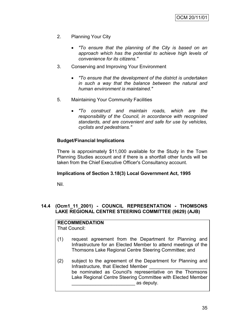- 2. Planning Your City
	- *"To ensure that the planning of the City is based on an approach which has the potential to achieve high levels of convenience for its citizens."*
- 3. Conserving and Improving Your Environment
	- *"To ensure that the development of the district is undertaken in such a way that the balance between the natural and human environment is maintained."*
- 5. Maintaining Your Community Facilities
	- *"To construct and maintain roads, which are the responsibility of the Council, in accordance with recognised standards, and are convenient and safe for use by vehicles, cyclists and pedestrians."*

### **Budget/Financial Implications**

There is approximately \$11,000 available for the Study in the Town Planning Studies account and if there is a shortfall other funds will be taken from the Chief Executive Officer's Consultancy account.

### **Implications of Section 3.18(3) Local Government Act, 1995**

Nil.

### **14.4 (Ocm1\_11\_2001) - COUNCIL REPRESENTATION - THOMSONS LAKE REGIONAL CENTRE STEERING COMMITTEE (9629) (AJB)**

#### **RECOMMENDATION** That Council:

- (1) request agreement from the Department for Planning and Infrastructure for an Elected Member to attend meetings of the Thomsons Lake Regional Centre Steering Committee; and
- (2) subject to the agreement of the Department for Planning and Infrastructure, that Elected Member be nominated as Council's representative on the Thomsons Lake Regional Centre Steering Committee with Elected Member deputy.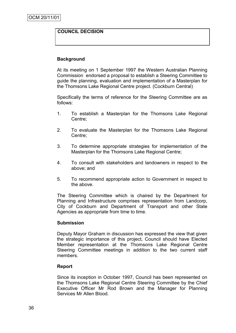### **COUNCIL DECISION**

### **Background**

At its meeting on 1 September 1997 the Western Australian Planning Commission endorsed a proposal to establish a Steering Committee to guide the planning, evaluation and implementation of a Masterplan for the Thomsons Lake Regional Centre project. (Cockburn Central)

Specifically the terms of reference for the Steering Committee are as follows:

- 1. To establish a Masterplan for the Thomsons Lake Regional Centre;
- 2. To evaluate the Masterplan for the Thomsons Lake Regional Centre;
- 3. To determine appropriate strategies for implementation of the Masterplan for the Thomsons Lake Regional Centre;
- 4. To consult with stakeholders and landowners in respect to the above; and
- 5. To recommend appropriate action to Government in respect to the above.

The Steering Committee which is chaired by the Department for Planning and Infrastructure comprises representation from Landcorp, City of Cockburn and Department of Transport and other State Agencies as appropriate from time to time.

### **Submission**

Deputy Mayor Graham in discussion has expressed the view that given the strategic importance of this project, Council should have Elected Member representation at the Thomsons Lake Regional Centre Steering Committee meetings in addition to the two current staff members.

### **Report**

Since its inception in October 1997, Council has been represented on the Thomsons Lake Regional Centre Steering Committee by the Chief Executive Officer Mr Rod Brown and the Manager for Planning Services Mr Allen Blood.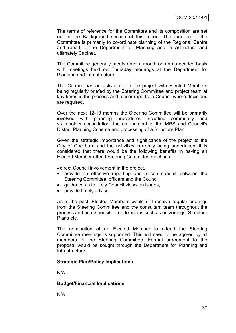The terms of reference for the Committee and its composition are set out in the Background section of this report. The function of the Committee is primarily to co-ordinate planning of the Regional Centre and report to the Department for Planning and Infrastructure and ultimately Cabinet.

The Committee generally meets once a month on an as needed basis with meetings held on Thursday mornings at the Department for Planning and Infrastructure.

The Council has an active role in the project with Elected Members being regularly briefed by the Steering Committee and project team at key times in the process and officer reports to Council where decisions are required.

Over the next 12-18 months the Steering Committee will be primarily involved with planning procedures including community and stakeholder consultation, the amendment to the MRS and Council's District Planning Scheme and processing of a Structure Plan.

Given the strategic importance and significance of the project to the City of Cockburn and the activities currently being undertaken, it is considered that there would be the following benefits in having an Elected Member attend Steering Committee meetings:

direct Council involvement in the project,

- provide an effective reporting and liaison conduit between the Steering Committee, officers and the Council,
- guidance as to likely Council views on issues,
- provide timely advice.

As in the past, Elected Members would still receive regular briefings from the Steering Committee and the consultant team throughout the process and be responsible for decisions such as on zonings, Structure Plans etc.

The nomination of an Elected Member to attend the Steering Committee meetings is supported. This will need to be agreed by all members of the Steering Committee. Formal agreement to the proposal would be sought through the Department for Planning and Infrastructure.

### **Strategic Plan/Policy Implications**

N/A

### **Budget/Financial Implications**

N/A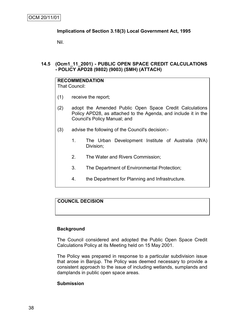### **Implications of Section 3.18(3) Local Government Act, 1995**

Nil.

### **14.5 (Ocm1\_11\_2001) - PUBLIC OPEN SPACE CREDIT CALCULATIONS - POLICY APD28 (9802) (9003) (SMH) (ATTACH)**

#### **RECOMMENDATION** That Council:

- (1) receive the report;
- (2) adopt the Amended Public Open Space Credit Calculations Policy APD28, as attached to the Agenda, and include it in the Council's Policy Manual; and
- (3) advise the following of the Council's decision:-
	- 1. The Urban Development Institute of Australia (WA) Division;
	- 2. The Water and Rivers Commission;
	- 3. The Department of Environmental Protection;
	- 4. the Department for Planning and Infrastructure.

## **COUNCIL DECISION**

### **Background**

The Council considered and adopted the Public Open Space Credit Calculations Policy at its Meeting held on 15 May 2001.

The Policy was prepared in response to a particular subdivision issue that arose in Banjup. The Policy was deemed necessary to provide a consistent approach to the issue of including wetlands, sumplands and damplands in public open space areas.

### **Submission**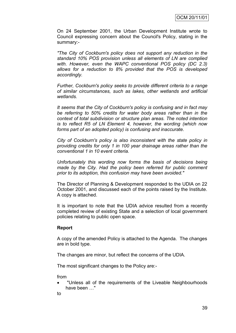On 24 September 2001, the Urban Development Institute wrote to Council expressing concern about the Council's Policy, stating in the summary:-

*"The City of Cockburn's policy does not support any reduction in the standard 10% POS provision unless all elements of LN are complied with. However, even the WAPC conventional POS policy (DC 2.3) allows for a reduction to 8% provided that the POS is developed accordingly.*

*Further, Cockburn's policy seeks to provide different criteria to a range of similar circumstances, such as lakes, other wetlands and artificial wetlands.*

*It seems that the City of Cockburn's policy is confusing and in fact may be referring to 50% credits for water body areas rather than in the context of total subdivision or structure plan areas. The noted intention is to reflect R5 of LN Element 4, however, the wording (which now forms part of an adopted policy) is confusing and inaccurate.*

*City of Cockburn's policy is also inconsistent with the state policy in providing credits for only 1 in 100 year drainage areas rather than the conventional 1 in 10 event criteria.*

*Unfortunately this wording now forms the basis of decisions being made by the City. Had the policy been referred for public comment prior to its adoption, this confusion may have been avoided."*

The Director of Planning & Development responded to the UDIA on 22 October 2001, and discussed each of the points raised by the Institute. A copy is attached.

It is important to note that the UDIA advice resulted from a recently completed review of existing State and a selection of local government policies relating to public open space.

### **Report**

A copy of the amended Policy is attached to the Agenda. The changes are in bold type.

The changes are minor, but reflect the concerns of the UDIA.

The most significant changes to the Policy are:-

from

 "Unless all of the requirements of the Liveable Neighbourhoods have been …"

to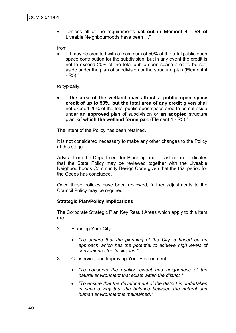"Unless all of the requirements **set out in Element 4 - R4 of** Liveable Neighbourhoods have been …"

from

 " it may be credited with a maximum of 50% of the total public open space contribution for the subdivision, but in any event the credit is not to exceed 20% of the total public open space area to be setaside under the plan of subdivision or the structure plan (Element 4 - R5)."

to typically,

 " **the area of the wetland may attract a public open space credit of up to 50%, but the total area of any credit given** shall not exceed 20% of the total public open space area to be set aside under **an approved** plan of subdivision or **an adopted** structure plan, **of which the wetland forms part** (Element 4 - R5)."

The intent of the Policy has been retained.

It is not considered necessary to make any other changes to the Policy at this stage.

Advice from the Department for Planning and Infrastructure, indicates that the State Policy may be reviewed together with the Liveable Neighbourhoods Community Design Code given that the trial period for the Codes has concluded.

Once these policies have been reviewed, further adjustments to the Council Policy may be required.

### **Strategic Plan/Policy Implications**

The Corporate Strategic Plan Key Result Areas which apply to this item are:-

- 2. Planning Your City
	- *"To ensure that the planning of the City is based on an approach which has the potential to achieve high levels of convenience for its citizens."*
- 3. Conserving and Improving Your Environment
	- *"To conserve the quality, extent and uniqueness of the natural environment that exists within the district."*
	- *"To ensure that the development of the district is undertaken in such a way that the balance between the natural and human environment is maintained."*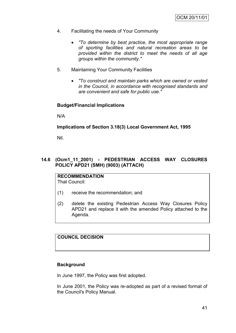- 4. Facilitating the needs of Your Community
	- *"To determine by best practice, the most appropriate range of sporting facilities and natural recreation areas to be provided within the district to meet the needs of all age groups within the community."*
- 5. Maintaining Your Community Facilities
	- *"To construct and maintain parks which are owned or vested in the Council, in accordance with recognised standards and are convenient and safe for public use."*

### **Budget/Financial Implications**

N/A

### **Implications of Section 3.18(3) Local Government Act, 1995**

Nil.

### **14.6 (Ocm1\_11\_2001) - PEDESTRIAN ACCESS WAY CLOSURES POLICY APD21 (SMH) (9003) (ATTACH)**

**RECOMMENDATION** That Council:

- (1) receive the recommendation; and
- (2) delete the existing Pedestrian Access Way Closures Policy APD21 and replace it with the amended Policy attached to the Agenda.

## **COUNCIL DECISION**

### **Background**

In June 1997, the Policy was first adopted.

In June 2001, the Policy was re-adopted as part of a revised format of the Council's Policy Manual.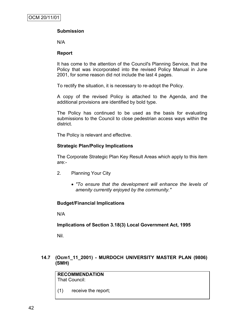## **Submission**

N/A

### **Report**

It has come to the attention of the Council's Planning Service, that the Policy that was incorporated into the revised Policy Manual in June 2001, for some reason did not include the last 4 pages.

To rectify the situation, it is necessary to re-adopt the Policy.

A copy of the revised Policy is attached to the Agenda, and the additional provisions are identified by bold type.

The Policy has continued to be used as the basis for evaluating submissions to the Council to close pedestrian access ways within the district.

The Policy is relevant and effective.

### **Strategic Plan/Policy Implications**

The Corporate Strategic Plan Key Result Areas which apply to this item are:-

- 2. Planning Your City
	- *"To ensure that the development will enhance the levels of amenity currently enjoyed by the community."*

### **Budget/Financial Implications**

N/A

**Implications of Section 3.18(3) Local Government Act, 1995**

Nil.

## **14.7 (Ocm1\_11\_2001) - MURDOCH UNIVERSITY MASTER PLAN (9806) (SMH)**

| <b>RECOMMENDATION</b> |
|-----------------------|
| <b>That Council:</b>  |

(1) receive the report;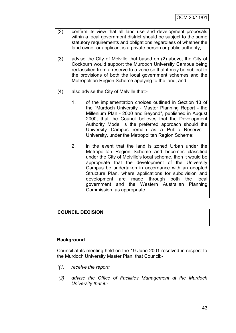- (2) confirm its view that all land use and development proposals within a local government district should be subject to the same statutory requirements and obligations regardless of whether the land owner or applicant is a private person or public authority;
- (3) advise the City of Melville that based on (2) above, the City of Cockburn would support the Murdoch University Campus being reclassified from a reserve to a zone so that it may be subject to the provisions of both the local government schemes and the Metropolitan Region Scheme applying to the land; and
- (4) also advise the City of Melville that:-
	- 1. of the implementation choices outlined in Section 13 of the "Murdoch University - Master Planning Report - the Millenium Plan - 2000 and Beyond", published in August 2000, that the Council believes that the Development Authority Model is the preferred approach should the University Campus remain as a Public Reserve - University, under the Metropolitan Region Scheme;
	- 2. in the event that the land is zoned Urban under the Metropolitan Region Scheme and becomes classified under the City of Melville's local scheme, then it would be appropriate that the development of the University Campus be undertaken in accordance with an adopted Structure Plan, where applications for subdivision and development are made through both the local government and the Western Australian Planning Commission, as appropriate.

## **COUNCIL DECISION**

## **Background**

Council at its meeting held on the 19 June 2001 resolved in respect to the Murdoch University Master Plan, that Council:-

- *"(1) receive the report;*
- *(2) advise the Office of Facilities Management at the Murdoch University that it:-*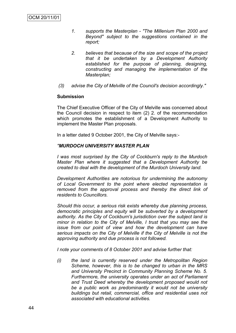- *1. supports the Masterplan - "The Millenium Plan 2000 and Beyond" subject to the suggestions contained in the report;*
- *2. believes that because of the size and scope of the project that it be undertaken by a Development Authority established for the purpose of planning, designing, constructing and managing the implementation of the Masterplan;*
- *(3) advise the City of Melville of the Council's decision accordingly."*

#### **Submission**

The Chief Executive Officer of the City of Melville was concerned about the Council decision in respect to item (2) 2. of the recommendation which promotes the establishment of a Development Authority to implement the Master Plan proposals.

In a letter dated 9 October 2001, the City of Melville says:-

### *"MURDOCH UNIVERSITY MASTER PLAN*

*I was most surprised by the City of Cockburn's reply to the Murdoch Master Plan where it suggested that a Development Authority be created to deal with the development of the Murdoch University land.*

*Development Authorities are notorious for undermining the autonomy of Local Government to the point where elected representation is removed from the approval process and thereby the direct link of residents to Councillors.*

*Should this occur, a serious risk exists whereby due planning process, democratic principles and equity will be subverted by a development authority. As the City of Cockburn's jurisdiction over the subject land is minor in relation to the City of Melville, I trust that you may see the issue from our point of view and how the development can have serious impacts on the City of Melville if the City of Melville is not the approving authority and due process is not followed.*

*I note your comments of 8 October 2001 and advise further that:*

*(i) the land is currently reserved under the Metropolitan Region Scheme, however, this is to be changed to urban in the MRS and University Precinct in Community Planning Scheme No. 5. Furthermore, the university operates under an act of Parliament and Trust Deed whereby the development proposed would not be a public work as predominantly it would not be university buildings but retail, commercial, office and residential uses not associated with educational activities.*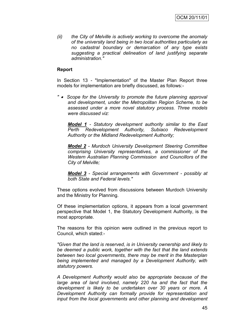*(ii) the City of Melville is actively working to overcome the anomaly of the university land being in two local authorities particularly as no cadastral boundary or demarcation of any type exists suggesting a practical delineation of land justifying separate administration."*

### **Report**

In Section 13 - "Implementation" of the Master Plan Report three models for implementation are briefly discussed, as follows:-

*" Scope for the University to promote the future planning approval and development, under the Metropolitan Region Scheme, to be assessed under a more novel statutory process. Three models were discussed viz:*

*Model 1 - Statutory development authority similar to the East Perth Redevelopment Authority, Subiaco Redevelopment Authority or the Midland Redevelopment Authority;*

*Model 2 - Murdoch University Development Steering Committee comprising University representatives, a commissioner of the Western Australian Planning Commission and Councillors of the City of Melville;*

*Model 3 - Special arrangements with Government - possibly at both State and Federal levels."*

These options evolved from discussions between Murdoch University and the Ministry for Planning.

Of these implementation options, it appears from a local government perspective that Model 1, the Statutory Development Authority, is the most appropriate.

The reasons for this opinion were outlined in the previous report to Council, which stated:-

*"Given that the land is reserved, is in University ownership and likely to be deemed a public work, together with the fact that the land extends between two local governments, there may be merit in the Masterplan being implemented and managed by a Development Authority, with statutory powers.*

*A Development Authority would also be appropriate because of the large area of land involved, namely 220 ha and the fact that the development is likely to be undertaken over 30 years or more. A Development Authority can formally provide for representation and input from the local governments and other planning and development*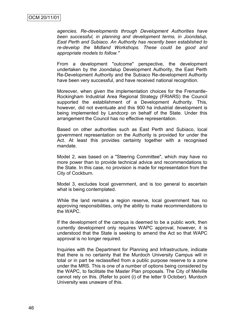*agencies. Re-developments through Development Authorities have been successful, in planning and development terms, in Joondalup, East Perth and Subiaco. An Authority has recently been established to re-develop the Midland Workshops. These could be good and appropriate models to follow."*

From a development "outcome" perspective, the development undertaken by the Joondalup Development Authority, the East Perth Re-Development Authority and the Subiaco Re-development Authority have been very successful, and have received national recognition.

Moreover, when given the implementation choices for the Fremantle-Rockingham Industrial Area Regional Strategy (FRIARS) the Council supported the establishment of a Development Authority. This, however, did not eventuate and this 900 ha industrial development is being implemented by Landcorp on behalf of the State. Under this arrangement the Council has no effective representation.

Based on other authorities such as East Perth and Subiaco, local government representation on the Authority is provided for under the Act. At least this provides certainty together with a recognised mandate.

Model 2, was based on a "Steering Committee", which may have no more power than to provide technical advice and recommendations to the State. In this case, no provision is made for representation from the City of Cockburn.

Model 3, excludes local government, and is too general to ascertain what is being contemplated.

While the land remains a region reserve, local government has no approving responsibilities, only the ability to make recommendations to the WAPC.

If the development of the campus is deemed to be a public work, then currently development only requires WAPC approval, however, it is understood that the State is seeking to amend the Act so that WAPC approval is no longer required.

Inquiries with the Department for Planning and Infrastructure, indicate that there is no certainty that the Murdoch University Campus will in total or in part be reclassified from a public purpose reserve to a zone under the MRS. This is one of a number of options being considered by the WAPC, to facilitate the Master Plan proposals. The City of Melville cannot rely on this. (Refer to point (i) of the letter 9 October). Murdoch University was unaware of this.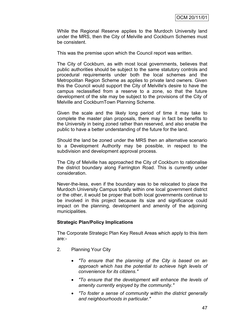While the Regional Reserve applies to the Murdoch University land under the MRS, then the City of Melville and Cockburn Schemes must be consistent.

This was the premise upon which the Council report was written.

The City of Cockburn, as with most local governments, believes that public authorities should be subject to the same statutory controls and procedural requirements under both the local schemes and the Metropolitan Region Scheme as applies to private land owners. Given this the Council would support the City of Melville's desire to have the campus reclassified from a reserve to a zone, so that the future development of the site may be subject to the provisions of the City of Melville and CockburnTown Planning Scheme.

Given the scale and the likely long period of time it may take to complete the master plan proposals, there may in fact be benefits to the University in being zoned rather than reserved, and also enable the public to have a better understanding of the future for the land.

Should the land be zoned under the MRS then an alternative scenario to a Development Authority may be possible, in respect to the subdivision and development approval process.

The City of Melville has approached the City of Cockburn to rationalise the district boundary along Farrington Road. This is currently under consideration.

Never-the-less, even if the boundary was to be relocated to place the Murdoch University Campus totally within one local government district or the other, it would be proper that both local governments continue to be involved in this project because its size and significance could impact on the planning, development and amenity of the adjoining municipalities.

### **Strategic Plan/Policy Implications**

The Corporate Strategic Plan Key Result Areas which apply to this item are:-

- 2. Planning Your City
	- *"To ensure that the planning of the City is based on an approach which has the potential to achieve high levels of convenience for its citizens."*
	- *"To ensure that the development will enhance the levels of amenity currently enjoyed by the community."*
	- *"To foster a sense of community within the district generally and neighbourhoods in particular."*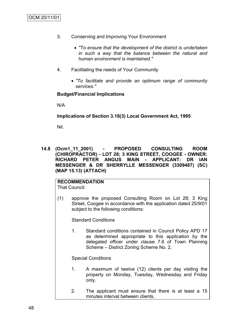- 3. Conserving and Improving Your Environment
	- *"To ensure that the development of the district is undertaken in such a way that the balance between the natural and human environment is maintained."*
- 4. Facilitating the needs of Your Community
	- *"To facilitate and provide an optimum range of community services."*

#### **Budget/Financial Implications**

N/A

**Implications of Section 3.18(3) Local Government Act, 1995**

Nil.

**14.8 (Ocm1\_11\_2001) - PROPOSED CONSULTING ROOM (CHIROPRACTOR) - LOT 28; 3 KING STREET, COOGEE - OWNER: RICHARD PETER ANGUS MAIN - APPLICANT: DR IAN MESSENGER & DR SHERRYLLE MESSENGER (3309487) (SC) (MAP 15.13) (ATTACH)**

#### **RECOMMENDATION** That Council:

(1) approve the proposed Consulting Room on Lot 28; 3 King Street, Coogee in accordance with the application dated 25/9/01 subject to the following conditions:

Standard Conditions

1. Standard conditions contained in Council Policy APD 17 as determined appropriate to this application by the delegated officer under clause 7.6 of Town Planning Scheme – District Zoning Scheme No. 2.

Special Conditions

- 1. A maximum of twelve (12) clients per day visiting the property on Monday, Tuesday, Wednesday and Friday only.
- 2. The applicant must ensure that there is at least a 15 minutes interval between clients.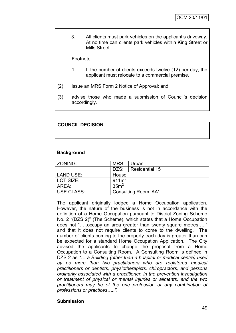3. All clients must park vehicles on the applicant"s driveway. At no time can clients park vehicles within King Street or Mills Street.

Footnote

- 1. If the number of clients exceeds twelve (12) per day, the applicant must relocate to a commercial premise.
- (2) issue an MRS Form 2 Notice of Approval; and
- (3) advise those who made a submission of Council"s decision accordingly.

## **COUNCIL DECISION**

### **Background**

| l ZONING:         | MRS:                 | Urban          |  |
|-------------------|----------------------|----------------|--|
|                   | DZS:                 | Residential 15 |  |
| LAND USE:         | House                |                |  |
| LOT SIZE:         | 911m <sup>2</sup>    |                |  |
| AREA:             | 35m <sup>2</sup>     |                |  |
| <b>USE CLASS:</b> | Consulting Room 'AA' |                |  |

The applicant originally lodged a Home Occupation application. However, the nature of the business is not in accordance with the definition of a Home Occupation pursuant to District Zoning Scheme No. 2 "(DZS 2)" (The Scheme), which states that a Home Occupation does not "…..occupy an area greater than twenty square metres….." and that it does not require clients to come to the dwelling. The number of clients coming to the property each day is greater than can be expected for a standard Home Occupation Application. The City advised the applicants to change the proposal from a Home Occupation to a Consulting Room. A Consulting Room is defined in DZS 2 as *"… a Building (other than a hospital or medical centre) used by no more than two practitioners who are registered medical practitioners or dentists, physiotherapists, chiropractors, and persons ordinarily associated with a practitioner, in the prevention investigation or treatment of physical or mental injuries or ailments, and the two practitioners may be of the one profession or any combination of professions or practices…..".* 

### **Submission**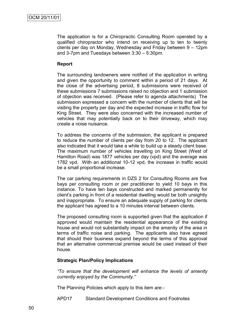The application is for a Chiropractic Consulting Room operated by a qualified chiropractor who intend on receiving up to ten to twenty clients per day on Monday, Wednesday and Friday between 9 – 12pm and 3-7pm and Tuesdays between 3:30 – 5:30pm.

### **Report**

The surrounding landowners were notified of the application in writing and given the opportunity to comment within a period of 21 days. At the close of the advertising period, 8 submissions were received of these submissions 7 submissions raised no objection and 1 submission of objection was received. (Please refer to agenda attachments) The submission expressed a concern with the number of clients that will be visiting the property per day and the expected increase in traffic flow for King Street. They were also concerned with the increased number of vehicles that may potentially back on to their driveway, which may create a noise nuisance.

To address the concerns of the submission, the applicant is prepared to reduce the number of clients per day from 20 to 12. The applicant also indicated that it would take a while to build up a steady client base. The maximum number of vehicles travelling on King Street (West of Hamilton Road) was 1877 vehicles per day (vpd) and the average was 1782 vpd. With an additional 10-12 vpd, the increase in traffic would be a small proportional increase.

The car parking requirements in DZS 2 for Consulting Rooms are five bays per consulting room or per practitioner to yield 10 bays in this instance. To have ten bays constructed and marked permanently for client"s parking in front of a residential dwelling would be both unsightly and inappropriate. To ensure an adequate supply of parking for clients the applicant has agreed to a 10 minutes interval between clients.

The proposed consulting room is supported given that the application if approved would maintain the residential appearance of the existing house and would not substantially impact on the amenity of the area in terms of traffic noise and parking. The applicants also have agreed that should their business expand beyond the terms of this approval that an alternative commercial premise would be used instead of their house.

#### **Strategic Plan/Policy Implications**

*"To ensure that the development will enhance the levels of amenity currently enjoyed by the Community."*

The Planning Policies which apply to this item are:-

APD17 Standard Development Conditions and Footnotes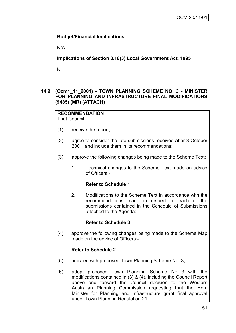### **Budget/Financial Implications**

N/A

**Implications of Section 3.18(3) Local Government Act, 1995**

Nil

### **14.9 (Ocm1\_11\_2001) - TOWN PLANNING SCHEME NO. 3 - MINISTER FOR PLANNING AND INFRASTRUCTURE FINAL MODIFICATIONS (9485) (MR) (ATTACH)**

## **RECOMMENDATION**

That Council:

- (1) receive the report;
- (2) agree to consider the late submissions received after 3 October 2001, and include them in its recommendations;
- (3) approve the following changes being made to the Scheme Text:
	- 1. Technical changes to the Scheme Text made on advice of Officers:-

## **Refer to Schedule 1**

2. Modifications to the Scheme Text in accordance with the recommendations made in respect to each of the submissions contained in the Schedule of Submissions attached to the Agenda:-

### **Refer to Schedule 3**

(4) approve the following changes being made to the Scheme Map made on the advice of Officers:-

### **Refer to Schedule 2**

- (5) proceed with proposed Town Planning Scheme No. 3;
- (6) adopt proposed Town Planning Scheme No 3 with the modifications contained in (3) & (4), including the Council Report above and forward the Council decision to the Western Australian Planning Commission requesting that the Hon. Minister for Planning and Infrastructure grant final approval under Town Planning Regulation 21;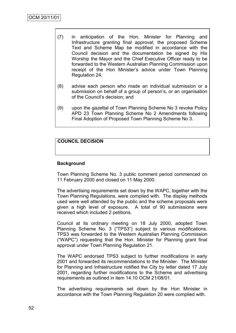- (7) in anticipation of the Hon. Minister for Planning and Infrastructure granting final approval; the proposed Scheme Text and Scheme Map be modified in accordance with the Council decision and the documentation be signed by His Worship the Mayor and the Chief Executive Officer ready to be forwarded to the Western Australian Planning Commission upon receipt of the Hon Minister's advice under Town Planning Regulation 24;
- (8) advise each person who made an individual submission or a submission on behalf of a group of person's, or an organisation of the Council"s decision; and
- (9) upon the gazettal of Town Planning Scheme No 3 revoke Policy APD 23 Town Planning Scheme No 2 Amendments following Final Adoption of Proposed Town Planning Scheme No 3.

## **COUNCIL DECISION**

### **Background**

Town Planning Scheme No. 3 public comment period commenced on 11 February 2000 and closed on 11 May 2000.

The advertising requirements set down by the WAPC, together with the Town Planning Regulations, were complied with. The display methods used were well attended by the public and the scheme proposals were given a high level of exposure. A total of 90 submissions were received which included 2 petitions.

Council at its ordinary meeting on 18 July 2000, adopted Town Planning Scheme No. 3 ("TPS3") subject to various modifications. TPS3 was forwarded to the Western Australian Planning Commission ("WAPC") requesting that the Hon. Minister for Planning grant final approval under Town Planning Regulation 21.

The WAPC endorsed TPS3 subject to further modifications in early 2001 and forwarded its recommendations to the Minister. The Minister for Planning and Infrastructure notified the City by letter dated 17 July 2001, regarding further modifications to the Scheme and advertising requirements as outlined in item 14.10 OCM 21/08/01.

The advertising requirements set down by the Hon Minister in accordance with the Town Planning Regulation 20 were complied with.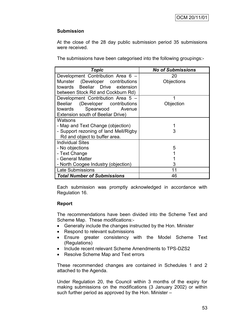### **Submission**

At the close of the 28 day public submission period 35 submissions were received.

The submissions have been categorised into the following groupings:-

| <b>Topic</b>                          | <b>No of Submissions</b> |
|---------------------------------------|--------------------------|
| Development Contribution Area 6 -     | 20                       |
| Munster (Developer contributions      | Objections               |
| towards Beeliar Drive extension       |                          |
| between Stock Rd and Cockburn Rd)     |                          |
| Development Contribution Area 5 -     | 1                        |
| Beeliar (Developer contributions      | Objection                |
| towards Spearwood Avenue              |                          |
| Extension south of Beeliar Drive)     |                          |
| Watsons                               |                          |
| - Map and Text Change (objection)     |                          |
| - Support rezoning of land Mell/Rigby | 3                        |
| Rd and object to buffer area.         |                          |
| <b>Individual Sites</b>               |                          |
| - No objections                       | 5                        |
| - Text Change                         |                          |
| - General Matter                      |                          |
| - North Coogee Industry (objection)   | 3                        |
| <b>Late Submissions</b>               | 11                       |
| <b>Total Number of Submissions</b>    | 46                       |

Each submission was promptly acknowledged in accordance with Regulation 16.

### **Report**

The recommendations have been divided into the Scheme Text and Scheme Map. These modifications:-

- Generally include the changes instructed by the Hon. Minister
- Respond to relevant submissions
- Ensure greater consistency with the Model Scheme Text (Regulations)
- Include recent relevant Scheme Amendments to TPS-DZS2
- Resolve Scheme Map and Text errors

These recommended changes are contained in Schedules 1 and 2 attached to the Agenda.

Under Regulation 20, the Council within 3 months of the expiry for making submissions on the modifications (3 January 2002) or within such further period as approved by the Hon. Minister –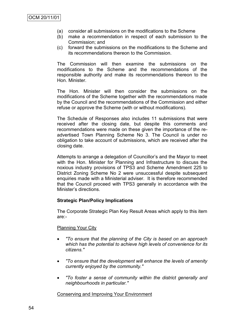- (a) consider all submissions on the modifications to the Scheme
- (b) make a recommendation in respect of each submission to the Commission; and
- (c) forward the submissions on the modifications to the Scheme and its recommendations thereon to the Commission.

The Commission will then examine the submissions on the modifications to the Scheme and the recommendations of the responsible authority and make its recommendations thereon to the Hon. Minister.

The Hon. Minister will then consider the submissions on the modifications of the Scheme together with the recommendations made by the Council and the recommendations of the Commission and either refuse or approve the Scheme (with or without modifications).

The Schedule of Responses also includes 11 submissions that were received after the closing date, but despite this comments and recommendations were made on these given the importance of the readvertised Town Planning Scheme No 3. The Council is under no obligation to take account of submissions, which are received after the closing date.

Attempts to arrange a delegation of Councillor"s and the Mayor to meet with the Hon. Minister for Planning and Infrastructure to discuss the noxious industry provisions of TPS3 and Scheme Amendment 225 to District Zoning Scheme No 2 were unsuccessful despite subsequent enquiries made with a Ministerial adviser. It is therefore recommended that the Council proceed with TPS3 generally in accordance with the Minister"s directions.

### **Strategic Plan/Policy Implications**

The Corporate Strategic Plan Key Result Areas which apply to this item are:-

### Planning Your City

- *"To ensure that the planning of the City is based on an approach which has the potential to achieve high levels of convenience for its citizens."*
- *"To ensure that the development will enhance the levels of amenity currently enjoyed by the community."*
- *"To foster a sense of community within the district generally and neighbourhoods in particular."*

### Conserving and Improving Your Environment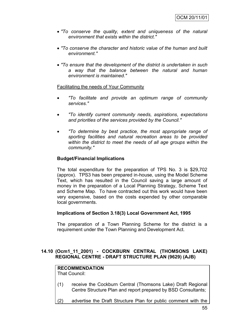- *"To conserve the quality, extent and uniqueness of the natural environment that exists within the district."*
- *"To conserve the character and historic value of the human and built environment."*
- *"To ensure that the development of the district is undertaken in such a way that the balance between the natural and human environment is maintained."*

### Facilitating the needs of Your Community

- *"To facilitate and provide an optimum range of community services."*
- *"To identify current community needs, aspirations, expectations and priorities of the services provided by the Council."*
- *"To determine by best practice, the most appropriate range of sporting facilities and natural recreation areas to be provided within the district to meet the needs of all age groups within the community."*

#### **Budget/Financial Implications**

The total expenditure for the preparation of TPS No. 3 is \$29,702 (approx). TPS3 has been prepared in-house, using the Model Scheme Text, which has resulted in the Council saving a large amount of money in the preparation of a Local Planning Strategy, Scheme Text and Scheme Map. To have contracted out this work would have been very expensive, based on the costs expended by other comparable local governments.

### **Implications of Section 3.18(3) Local Government Act, 1995**

The preparation of a Town Planning Scheme for the district is a requirement under the Town Planning and Development Act.

## **14.10 (Ocm1\_11\_2001) - COCKBURN CENTRAL (THOMSONS LAKE) REGIONAL CENTRE - DRAFT STRUCTURE PLAN (9629) (AJB)**

## **RECOMMENDATION**

That Council:

- (1) receive the Cockburn Central (Thomsons Lake) Draft Regional Centre Structure Plan and report prepared by BSD Consultants;
- (2) advertise the Draft Structure Plan for public comment with the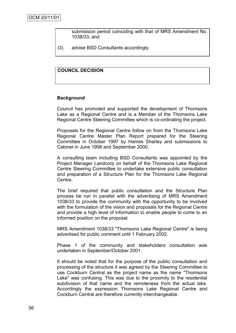submission period coinciding with that of MRS Amendment No. 1038/33; and

(3) advise BSD Consultants accordingly.

### **COUNCIL DECISION**

#### **Background**

Council has promoted and supported the development of Thomsons Lake as a Regional Centre and is a Member of the Thomsons Lake Regional Centre Steering Committee which is co-ordinating the project.

Proposals for the Regional Centre follow on from the Thomsons Lake Regional Centre Master Plan Report prepared for the Steering Committee in October 1997 by Hames Sharley and submissions to Cabinet in June 1998 and September 2000.

A consulting team including BSD Consultants was appointed by the Project Manager Landcorp on behalf of the Thomsons Lake Regional Centre Steering Committee to undertake extensive public consultation and preparation of a Structure Plan for the Thomsons Lake Regional Centre.

The brief required that public consultation and the Structure Plan process be run in parallel with the advertising of MRS Amendment 1038/33 to provide the community with the opportunity to be involved with the formulation of the vision and proposals for the Regional Centre and provide a high level of information to enable people to come to an informed position on the proposal.

MRS Amendment 1038/33 "Thomsons Lake Regional Centre" is being advertised for public comment until 1 February 2002.

Phase 1 of the community and stakeholders consultation was undertaken in September/October 2001.

It should be noted that for the purpose of the public consultation and processing of the structure it was agreed by the Steering Committee to use Cockburn Central as the project name as the name "Thomsons Lake" was confusing. This was due to the proximity to the residential subdivision of that name and the remoteness from the actual lake. Accordingly the expression Thomsons Lake Regional Centre and Cockburn Central are therefore currently interchangeable.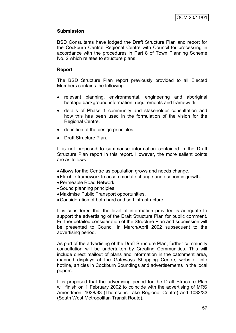### **Submission**

BSD Consultants have lodged the Draft Structure Plan and report for the Cockburn Central Regional Centre with Council for processing in accordance with the procedures in Part 8 of Town Planning Scheme No. 2 which relates to structure plans.

### **Report**

The BSD Structure Plan report previously provided to all Elected Members contains the following:

- relevant planning, environmental, engineering and aboriginal heritage background information, requirements and framework.
- details of Phase 1 community and stakeholder consultation and how this has been used in the formulation of the vision for the Regional Centre.
- definition of the design principles.
- Draft Structure Plan.

It is not proposed to summarise information contained in the Draft Structure Plan report in this report. However, the more salient points are as follows:

- Allows for the Centre as population grows and needs change.
- Flexible framework to accommodate change and economic growth.
- Permeable Road Network.
- Sound planning principles.
- Maximise Public Transport opportunities.
- Consideration of both hard and soft infrastructure.

It is considered that the level of information provided is adequate to support the advertising of the Draft Structure Plan for public comment. Further detailed consideration of the Structure Plan and submission will be presented to Council in March/April 2002 subsequent to the advertising period.

As part of the advertising of the Draft Structure Plan, further community consultation will be undertaken by Creating Communities. This will include direct mailout of plans and information in the catchment area, manned displays at the Gateways Shopping Centre, website, info hotline, articles in Cockburn Soundings and advertisements in the local papers.

It is proposed that the advertising period for the Draft Structure Plan will finish on 1 February 2002 to coincide with the advertising of MRS Amendment 1038/33 (Thomsons Lake Regional Centre) and 1032/33 (South West Metropolitan Transit Route).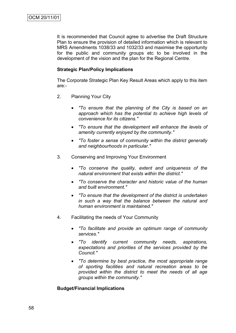It is recommended that Council agree to advertise the Draft Structure Plan to ensure the provision of detailed information which is relevant to MRS Amendments 1038/33 and 1032/33 and maximise the opportunity for the public and community groups etc to be involved in the development of the vision and the plan for the Regional Centre.

### **Strategic Plan/Policy Implications**

The Corporate Strategic Plan Key Result Areas which apply to this item are:-

- 2. Planning Your City
	- *"To ensure that the planning of the City is based on an approach which has the potential to achieve high levels of convenience for its citizens."*
	- *"To ensure that the development will enhance the levels of amenity currently enjoyed by the community."*
	- *"To foster a sense of community within the district generally and neighbourhoods in particular."*
- 3. Conserving and Improving Your Environment
	- *"To conserve the quality, extent and uniqueness of the natural environment that exists within the district."*
	- *"To conserve the character and historic value of the human and built environment."*
	- *"To ensure that the development of the district is undertaken in such a way that the balance between the natural and human environment is maintained."*
- 4. Facilitating the needs of Your Community
	- *"To facilitate and provide an optimum range of community services."*
	- *"To identify current community needs, aspirations, expectations and priorities of the services provided by the Council."*
	- *"To determine by best practice, the most appropriate range of sporting facilities and natural recreation areas to be provided within the district to meet the needs of all age groups within the community."*

### **Budget/Financial Implications**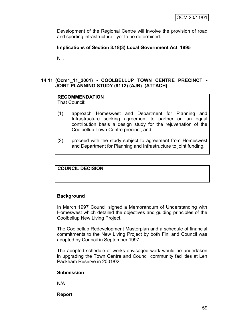Development of the Regional Centre will involve the provision of road and sporting infrastructure - yet to be determined.

### **Implications of Section 3.18(3) Local Government Act, 1995**

Nil.

## **14.11 (Ocm1\_11\_2001) - COOLBELLUP TOWN CENTRE PRECINCT - JOINT PLANNING STUDY (9112) (AJB) (ATTACH)**

#### **RECOMMENDATION** That Council:

- 
- (1) approach Homeswest and Department for Planning and Infrastructure seeking agreement to partner on an equal contribution basis a design study for the rejuvenation of the Coolbellup Town Centre precinct; and
- (2) proceed with the study subject to agreement from Homeswest and Department for Planning and Infrastructure to joint funding.

## **COUNCIL DECISION**

### **Background**

In March 1997 Council signed a Memorandum of Understanding with Homeswest which detailed the objectives and guiding principles of the Coolbellup New Living Project.

The Coolbellup Redevelopment Masterplan and a schedule of financial commitments to the New Living Project by both Fini and Council was adopted by Council in September 1997.

The adopted schedule of works envisaged work would be undertaken in upgrading the Town Centre and Council community facilities at Len Packham Reserve in 2001/02.

### **Submission**

N/A

**Report**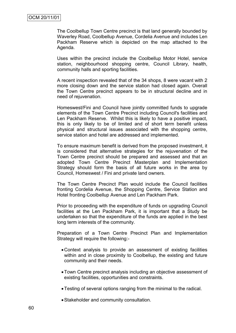The Coolbellup Town Centre precinct is that land generally bounded by Waverley Road, Coolbellup Avenue, Cordelia Avenue and includes Len Packham Reserve which is depicted on the map attached to the Agenda.

Uses within the precinct include the Coolbellup Motor Hotel, service station, neighbourhood shopping centre, Council Library, health, community halls and sporting facilities.

A recent inspection revealed that of the 34 shops, 8 were vacant with 2 more closing down and the service station had closed again. Overall the Town Centre precinct appears to be in structural decline and in need of rejuvenation.

Homeswest/Fini and Council have jointly committed funds to upgrade elements of the Town Centre Precinct including Council's facilities and Len Packham Reserve. Whilst this is likely to have a positive impact, this is only likely to be of limited and of short term benefit unless physical and structural issues associated with the shopping centre, service station and hotel are addressed and implemented.

To ensure maximum benefit is derived from the proposed investment, it is considered that alternative strategies for the rejuvenation of the Town Centre precinct should be prepared and assessed and that an adopted Town Centre Precinct Masterplan and Implementation Strategy should form the basis of all future works in the area by Council, Homeswest / Fini and private land owners.

The Town Centre Precinct Plan would include the Council facilities fronting Cordelia Avenue, the Shopping Centre, Service Station and Hotel fronting Coolbellup Avenue and Len Packham Park.

Prior to proceeding with the expenditure of funds on upgrading Council facilities at the Len Packham Park, it is important that a Study be undertaken so that the expenditure of the funds are applied in the best long term interests of the community.

Preparation of a Town Centre Precinct Plan and Implementation Strategy will require the following:-

- Context analysis to provide an assessment of existing facilities within and in close proximity to Coolbellup, the existing and future community and their needs.
- Town Centre precinct analysis including an objective assessment of existing facilities, opportunities and constraints.
- Testing of several options ranging from the minimal to the radical.
- Stakeholder and community consultation.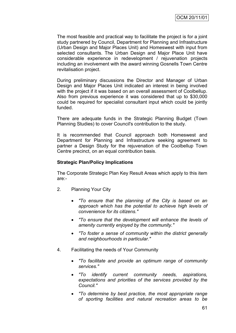The most feasible and practical way to facilitate the project is for a joint study partnered by Council, Department for Planning and Infrastructure (Urban Design and Major Places Unit) and Homeswest with input from selected consultants. The Urban Design and Major Place Unit have considerable experience in redevelopment / rejuvenation projects including an involvement with the award winning Gosnells Town Centre revitalisation project.

During preliminary discussions the Director and Manager of Urban Design and Major Places Unit indicated an interest in being involved with the project if it was based on an overall assessment of Coolbellup. Also from previous experience it was considered that up to \$30,000 could be required for specialist consultant input which could be jointly funded.

There are adequate funds in the Strategic Planning Budget (Town Planning Studies) to cover Council's contribution to the study.

It is recommended that Council approach both Homeswest and Department for Planning and Infrastructure seeking agreement to partner a Design Study for the rejuvenation of the Coolbellup Town Centre precinct, on an equal contribution basis.

#### **Strategic Plan/Policy Implications**

The Corporate Strategic Plan Key Result Areas which apply to this item are:-

- 2. Planning Your City
	- *"To ensure that the planning of the City is based on an approach which has the potential to achieve high levels of convenience for its citizens."*
	- *"To ensure that the development will enhance the levels of amenity currently enjoyed by the community."*
	- *"To foster a sense of community within the district generally and neighbourhoods in particular."*
- 4. Facilitating the needs of Your Community
	- *"To facilitate and provide an optimum range of community services."*
	- *"To identify current community needs, aspirations, expectations and priorities of the services provided by the Council."*
	- *"To determine by best practice, the most appropriate range of sporting facilities and natural recreation areas to be*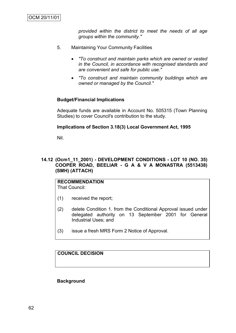*provided within the district to meet the needs of all age groups within the community."*

- 5. Maintaining Your Community Facilities
	- *"To construct and maintain parks which are owned or vested in the Council, in accordance with recognised standards and are convenient and safe for public use."*
	- *"To construct and maintain community buildings which are owned or managed by the Council."*

### **Budget/Financial Implications**

Adequate funds are available in Account No. 505315 (Town Planning Studies) to cover Council's contribution to the study.

#### **Implications of Section 3.18(3) Local Government Act, 1995**

Nil.

### **14.12 (Ocm1\_11\_2001) - DEVELOPMENT CONDITIONS - LOT 10 (NO. 35) COOPER ROAD, BEELIAR - G A & V A MONASTRA (5513438) (SMH) (ATTACH)**

**RECOMMENDATION** That Council:

- (1) received the report;
- (2) delete Condition 1. from the Conditional Approval issued under delegated authority on 13 September 2001 for General Industrial Uses; and
- (3) issue a fresh MRS Form 2 Notice of Approval.

**COUNCIL DECISION**

#### **Background**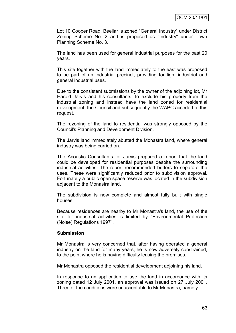Lot 10 Cooper Road, Beeliar is zoned "General Industry" under District Zoning Scheme No. 2 and is proposed as "Industry" under Town Planning Scheme No. 3.

The land has been used for general industrial purposes for the past 20 years.

This site together with the land immediately to the east was proposed to be part of an industrial precinct, providing for light industrial and general industrial uses.

Due to the consistent submissions by the owner of the adjoining lot, Mr Harold Jarvis and his consultants, to exclude his property from the industrial zoning and instead have the land zoned for residential development, the Council and subsequently the WAPC acceded to this request.

The rezoning of the land to residential was strongly opposed by the Council's Planning and Development Division.

The Jarvis land immediately abutted the Monastra land, where general industry was being carried on.

The Acoustic Consultants for Jarvis prepared a report that the land could be developed for residential purposes despite the surrounding industrial activities. The report recommended buffers to separate the uses. These were significantly reduced prior to subdivision approval. Fortunately a public open space reserve was located in the subdivision adjacent to the Monastra land.

The subdivision is now complete and almost fully built with single houses.

Because residences are nearby to Mr Monastra's land, the use of the site for industrial activities is limited by "Environmental Protection (Noise) Regulations 1997".

#### **Submission**

Mr Monastra is very concerned that, after having operated a general industry on the land for many years, he is now adversely constrained, to the point where he is having difficulty leasing the premises.

Mr Monastra opposed the residential development adjoining his land.

In response to an application to use the land in accordance with its zoning dated 12 July 2001, an approval was issued on 27 July 2001. Three of the conditions were unacceptable to Mr Monastra, namely:-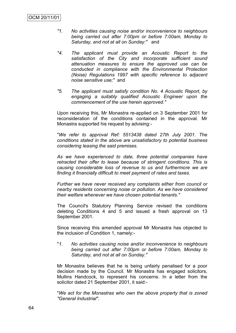- *"1. No activities causing noise and/or inconvenience to neighbours being carried out after 7:00pm or before 7:00am, Monday to Saturday, and not at all on Sunday:"* and
- *"4. The applicant must provide an Acoustic Report to the satisfaction of the City and incorporate sufficient sound attenuation measures to ensure the approved use can be conducted in compliance with the Environmental Protection (Noise) Regulations 1997 with specific reference to adjacent noise sensitive use;"* and
- *"5. The applicant must satisfy condition No. 4 Acoustic Report, by engaging a suitably qualified Acoustic Engineer upon the commencement of the use herein approved."*

Upon receiving this, Mr Monastra re-applied on 3 September 2001 for reconsideration of the conditions contained in the approval. Mr Monastra supported his request by advising:-

"*We refer to approval Ref: 5513438 dated 27th July 2001. The conditions stated in the above are unsatisfactory to potential business considering leasing the said premises.*

*As we have experienced to date, three potential companies have retracted their offer to lease because of stringent conditions. This is causing considerable loss of revenue to us and furthermore we are finding it financially difficult to meet payment of rates and taxes.*

*Further we have never received any complaints either from council or nearby residents concerning noise or pollution. As we have considered their welfare whenever we have chosen potential tenants."*

The Council's Statutory Planning Service revised the conditions deleting Conditions 4 and 5 and issued a fresh approval on 13 September 2001.

Since receiving this amended approval Mr Monastra has objected to the inclusion of Condition 1, namely:-

"*1. No activities causing noise and/or inconvenience to neighbours being carried out after 7:00pm or before 7:00am, Monday to Saturday, and not at all on Sunday."*

Mr Monastra believes that he is being unfairly penalised for a poor decision made by the Council. Mr Monastra has engaged solicitors, Mullins Handcock, to represent his concerns. In a letter from the solicitor dated 21 September 2001, it said:-

"*We act for the Monastras who own the above property that is zoned "General Industrial".*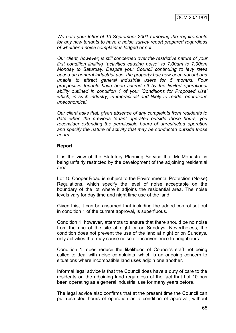*We note your letter of 13 September 2001 removing the requirements for any new tenants to have a noise survey report prepared regardless of whether a noise complaint is lodged or not.*

*Our client, however, is still concerned over the restrictive nature of your first condition limiting "activities causing noise" to 7.00am to 7.00pm Monday to Saturday. Despite your Council continuing to levy rates based on general industrial use, the property has now been vacant and unable to attract general industrial users for 5 months. Four prospective tenants have been scared off by the limited operational ability outlined in condition 1 of your 'Conditions for Proposed Use' which, in such industry, is impractical and likely to render operations uneconomical.*

*Our client asks that, given absence of any complaints from residents to date when the previous tenant operated outside those hours, you reconsider extending the permissible hours of unrestricted operation and specify the nature of activity that may be conducted outside those hours."*

#### **Report**

It is the view of the Statutory Planning Service that Mr Monastra is being unfairly restricted by the development of the adjoining residential area.

Lot 10 Cooper Road is subject to the Environmental Protection (Noise) Regulations, which specify the level of noise acceptable on the boundary of the lot where it adjoins the residential area. The noise levels vary for day time and night time use of the land.

Given this, it can be assumed that including the added control set out in condition 1 of the current approval, is superfluous.

Condition 1, however, attempts to ensure that there should be no noise from the use of the site at night or on Sundays. Nevertheless, the condition does not prevent the use of the land at night or on Sundays, only activities that may cause noise or inconvenience to neighbours.

Condition 1, does reduce the likelihood of Council's staff not being called to deal with noise complaints, which is an ongoing concern to situations where incompatible land uses adjoin one another.

Informal legal advice is that the Council does have a duty of care to the residents on the adjoining land regardless of the fact that Lot 10 has been operating as a general industrial use for many years before.

The legal advice also confirms that at the present time the Council can put restricted hours of operation as a condition of approval, without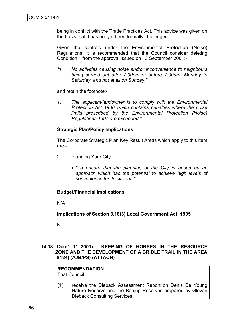being in conflict with the Trade Practices Act. This advice was given on the basis that it has not yet been formally challenged.

Given the controls under the Environmental Protection (Noise) Regulations, it is recommended that the Council consider deleting Condition 1 from the approval issued on 13 September 2001:-

*"1. No activities causing noise and/or inconvenience to neighbours being carried out after 7:00pm or before 7:00am, Monday to Saturday, and not at all on Sunday:"*

and retain the footnote:-

*1. The applicant/landowner is to comply with the Environmental Protection Act 1986 which contains penalties where the noise limits prescribed by the Environmental Protection (Noise) Regulations 1997 are exceeded."*

#### **Strategic Plan/Policy Implications**

The Corporate Strategic Plan Key Result Areas which apply to this item are:-

- 2. Planning Your City
	- *"To ensure that the planning of the City is based on an approach which has the potential to achieve high levels of convenience for its citizens."*

### **Budget/Financial Implications**

N/A

**Implications of Section 3.18(3) Local Government Act, 1995**

Nil.

### **14.13 (Ocm1\_11\_2001) - KEEPING OF HORSES IN THE RESOURCE ZONE AND THE DEVELOPMENT OF A BRIDLE TRAIL IN THE AREA (8124) (AJB/PS) (ATTACH)**

# **RECOMMENDATION**

That Council:

(1) receive the Dieback Assessment Report on Denis De Young Nature Reserve and the Banjup Reserves prepared by Glevan Dieback Consulting Services;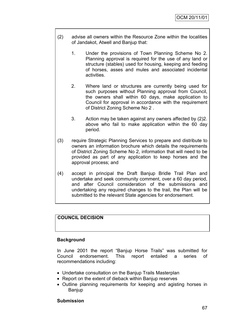- (2) advise all owners within the Resource Zone within the localities of Jandakot, Atwell and Banjup that:
	- 1. Under the provisions of Town Planning Scheme No 2. Planning approval is required for the use of any land or structure (stables) used for housing, keeping and feeding of horses, asses and mules and associated incidental activities.
	- 2. Where land or structures are currently being used for such purposes without Planning approval from Council, the owners shall within 60 days, make application to Council for approval in accordance with the requirement of District Zoning Scheme No 2 .
	- 3. Action may be taken against any owners affected by (2)2. above who fail to make application within the 60 day period.
- (3) require Strategic Planning Services to prepare and distribute to owners an information brochure which details the requirements of District Zoning Scheme No 2, information that will need to be provided as part of any application to keep horses and the approval process; and
- (4) accept in principal the Draft Banjup Bridle Trail Plan and undertake and seek community comment, over a 60 day period, and after Council consideration of the submissions and undertaking any required changes to the trail, the Plan will be submitted to the relevant State agencies for endorsement.

# **COUNCIL DECISION**

# **Background**

In June 2001 the report "Banjup Horse Trails" was submitted for Council endorsement. This report entailed a series of recommendations including:

- Undertake consultation on the Banjup Trails Masterplan
- Report on the extent of dieback within Banjup reserves
- Outline planning requirements for keeping and agisting horses in Banjup

#### **Submission**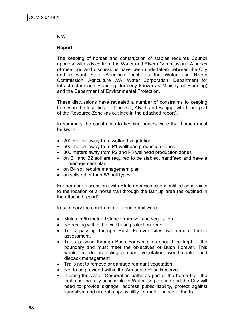#### N/A

# **Report**

The keeping of horses and construction of stables requires Council approval with advice from the Water and Rivers Commission. A series of meetings and discussions have been undertaken between the City and relevant State Agencies, such as the Water and Rivers Commission, Agriculture WA, Water Corporation, Department for Infrastructure and Planning (formerly known as Ministry of Planning) and the Department of Environmental Protection.

These discussions have revealed a number of constraints to keeping horses in the localities of Jandakot, Atwell and Banjup, which are part of the Resource Zone (as outlined in the attached report).

In summary the constraints to keeping horses were that horses must be kept:-

- 200 meters away from wetland vegetation
- 500 meters away from P1 wellhead production zones
- 300 meters away from P2 and P3 wellhead production zones
- on B1 and B2 soil are required to be stabled, handfeed and have a management plan
- on B4 soil require management plan
- on soils other than B3 soil types.

Furthermore discussions with State agencies also identified constraints to the location of a horse trail through the Banjup area (as outlined in the attached report).

In summary the constraints to a bridle trail were:

- Maintain 50 meter distance from wetland vegetation
- No resting within the well head protection zone
- Trails passing through Bush Forever sites will require formal assessment.
- Trails passing through Bush Forever sites should be kept to the boundary and must meet the objectives of Bush Forever. This would include protecting remnant vegetation, weed control and dieback management
- Trails not to remove or damage remnant vegetation
- Not to be provided within the Armadale Road Reserve
- If using the Water Corporation paths as part of the horse trail, the trail must be fully accessible to Water Corporation and the City will need to provide signage, address public liability, protect against vandalism and accept responsibility for maintenance of the trail.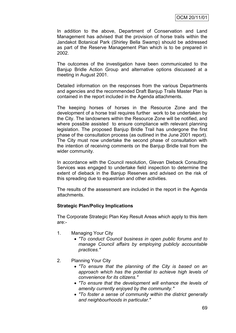In addition to the above, Department of Conservation and Land Management has advised that the provision of horse trails within the Jandakot Botanical Park (Shirley Bella Swamp) should be addressed as part of the Reserve Management Plan which is to be prepared in 2002.

The outcomes of the investigation have been communicated to the Banjup Bridle Action Group and alternative options discussed at a meeting in August 2001.

Detailed information on the responses from the various Departments and agencies and the recommended Draft Banjup Trails Master Plan is contained in the report included in the Agenda attachments.

The keeping horses of horses in the Resource Zone and the development of a horse trail requires further work to be undertaken by the City. The landowners within the Resource Zone will be notified, and where possible assisted to ensure compliance with relevant planning legislation. The proposed Banjup Bridle Trail has undergone the first phase of the consultation process (as outlined in the June 2001 report). The City must now undertake the second phase of consultation with the intention of receiving comments on the Banjup Bridle trail from the wider community.

In accordance with the Council resolution, Glevan Dieback Consulting Services was engaged to undertake field inspection to determine the extent of dieback in the Banjup Reserves and advised on the risk of this spreading due to equestrian and other activities.

The results of the assessment are included in the report in the Agenda attachments.

#### **Strategic Plan/Policy Implications**

The Corporate Strategic Plan Key Result Areas which apply to this item are:-

- 1. Managing Your City
	- *"To conduct Council business in open public forums and to manage Council affairs by employing publicly accountable practices."*
- 2. Planning Your City
	- *"To ensure that the planning of the City is based on an approach which has the potential to achieve high levels of convenience for its citizens."*
	- *"To ensure that the development will enhance the levels of amenity currently enjoyed by the community."*
	- *"To foster a sense of community within the district generally and neighbourhoods in particular."*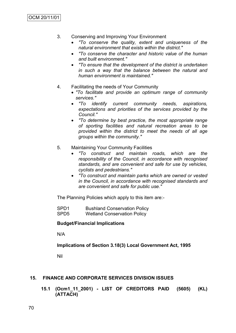- 3. Conserving and Improving Your Environment
	- *"To conserve the quality, extent and uniqueness of the natural environment that exists within the district."*
	- *"To conserve the character and historic value of the human and built environment."*
	- *"To ensure that the development of the district is undertaken in such a way that the balance between the natural and human environment is maintained."*
- 4. Facilitating the needs of Your Community
	- *"To facilitate and provide an optimum range of community services."*
	- *"To identify current community needs, aspirations, expectations and priorities of the services provided by the Council."*
	- *"To determine by best practice, the most appropriate range of sporting facilities and natural recreation areas to be provided within the district to meet the needs of all age groups within the community."*
- 5. Maintaining Your Community Facilities
	- *"To construct and maintain roads, which are the responsibility of the Council, in accordance with recognised standards, and are convenient and safe for use by vehicles, cyclists and pedestrians."*
	- *"To construct and maintain parks which are owned or vested in the Council, in accordance with recognised standards and are convenient and safe for public use."*

The Planning Policies which apply to this item are:-

| SPD1             | <b>Bushland Conservation Policy</b> |
|------------------|-------------------------------------|
| SPD <sub>5</sub> | <b>Wetland Conservation Policy</b>  |

#### **Budget/Financial Implications**

N/A

#### **Implications of Section 3.18(3) Local Government Act, 1995**

Nil

#### **15. FINANCE AND CORPORATE SERVICES DIVISION ISSUES**

**15.1 (Ocm1\_11\_2001) - LIST OF CREDITORS PAID (5605) (KL) (ATTACH)**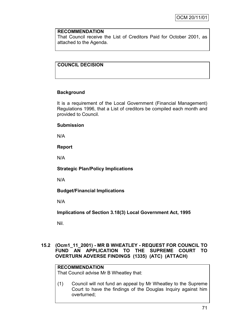#### **RECOMMENDATION**

That Council receive the List of Creditors Paid for October 2001, as attached to the Agenda.

# **COUNCIL DECISION**

# **Background**

It is a requirement of the Local Government (Financial Management) Regulations 1996, that a List of creditors be compiled each month and provided to Council.

#### **Submission**

N/A

#### **Report**

N/A

### **Strategic Plan/Policy Implications**

N/A

# **Budget/Financial Implications**

N/A

**Implications of Section 3.18(3) Local Government Act, 1995**

Nil.

#### **15.2 (Ocm1\_11\_2001) - MR B WHEATLEY - REQUEST FOR COUNCIL TO FUND AN APPLICATION TO THE SUPREME COURT TO OVERTURN ADVERSE FINDINGS (1335) (ATC) (ATTACH)**

# **RECOMMENDATION**

That Council advise Mr B Wheatley that:

(1) Council will not fund an appeal by Mr Wheatley to the Supreme Court to have the findings of the Douglas Inquiry against him overturned;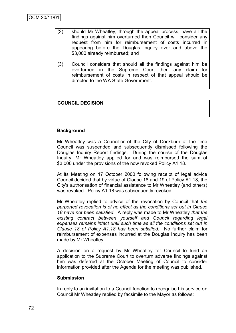- (2) should Mr Wheatley, through the appeal process, have all the findings against him overturned then Council will consider any request from him for reimbursement of costs incurred in appearing before the Douglas Inquiry over and above the \$3,000 already reimbursed; and
- (3) Council considers that should all the findings against him be overturned in the Supreme Court then any claim for reimbursement of costs in respect of that appeal should be directed to the WA State Government.

# **COUNCIL DECISION**

# **Background**

Mr Wheatley was a Councillor of the City of Cockburn at the time Council was suspended and subsequently dismissed following the Douglas Inquiry Report findings. During the course of the Douglas Inquiry, Mr Wheatley applied for and was reimbursed the sum of \$3,000 under the provisions of the now revoked Policy A1.18.

At its Meeting on 17 October 2000 following receipt of legal advice Council decided that by virtue of Clause 18 and 19 of Policy A1.18, the City's authorisation of financial assistance to Mr Wheatley (and others) was revoked. Policy A1.18 was subsequently revoked.

Mr Wheatley replied to advice of the revocation by Council that *the purported revocation is of no effect as the conditions set out in Clause 18 have not been satisfied.* A reply was made to Mr Wheatley *that the existing contract between yourself and Council regarding legal expenses remains intact until such time as all the conditions set out in Clause 18 of Policy A1.18 has been satisfied.* No further claim for reimbursement of expenses incurred at the Douglas Inquiry has been made by Mr Wheatley.

A decision on a request by Mr Wheatley for Council to fund an application to the Supreme Court to overturn adverse findings against him was deferred at the October Meeting of Council to consider information provided after the Agenda for the meeting was published.

#### **Submission**

In reply to an invitation to a Council function to recognise his service on Council Mr Wheatley replied by facsimile to the Mayor as follows: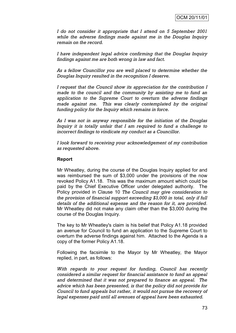*I do not consider it appropriate that I attend on 5 September 2001 while the adverse findings made against me in the Douglas Inquiry remain on the record.*

*I have independent legal advice confirming that the Douglas Inquiry findings against me are both wrong in law and fact.*

*As a fellow Councillor you are well placed to determine whether the Douglas Inquiry resulted in the recognition I deserve.*

*I request that the Council show its appreciation for the contribution I made to the council and the community by assisting me to fund an application to the Supreme Court to overturn the adverse findings made against me. This was clearly contemplated by the original funding policy for the Inquiry which remains in force.*

*As I was not in anyway responsible for the initiation of the Douglas Inquiry it is totally unfair that I am required to fund a challenge to incorrect findings to vindicate my conduct as a Councillor.*

*I look forward to receiving your acknowledgement of my contribution as requested above.*

#### **Report**

Mr Wheatley, during the course of the Douglas Inquiry applied for and was reimbursed the sum of \$3,000 under the provisions of the now revoked Policy A1.18. This was the maximum amount which could be paid by the Chief Executive Officer under delegated authority. The Policy provided in Clause 10 *The Council may give consideration to the provision of financial support exceeding \$3,000 in total, only if full details of the additional expense and the reason for it, are provided*. Mr Wheatley did not make any claim other than the \$3,000 during the course of the Douglas Inquiry.

The key to Mr Wheatley's claim is his belief that Policy A1.18 provided an avenue for Council to fund an application to the Supreme Court to overturn the adverse findings against him. Attached to the Agenda is a copy of the former Policy A1.18.

Following the facsimile to the Mayor by Mr Wheatley, the Mayor replied, in part, as follows:

*With regards to your request for funding, Council has recently considered a similar request for financial assistance to fund an appeal and determined that it was not prepared to finance an appeal. The advice which has been presented, is that the policy did not provide for Council to fund appeals but rather, it would not pursue the recovery of legal expenses paid until all avenues of appeal have been exhausted.*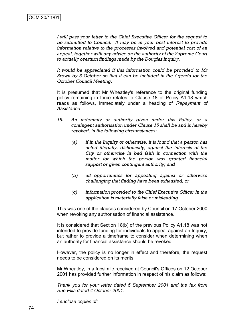*I will pass your letter to the Chief Executive Officer for the request to be submitted to Council. It may be in your best interest to provide information relative to the processes involved and potential cost of an appeal, together with any advice on the authority of the Supreme Court to actually overturn findings made by the Douglas Inquiry.*

*It would be appreciated if this information could be provided to Mr Brown by 3 October so that it can be included in the Agenda for the October Council Meeting*.

It is presumed that Mr Wheatley's reference to the original funding policy remaining in force relates to Clause 18 of Policy A1.18 which reads as follows, immediately under a heading of *Repayment of Assistance*

- *18. An indemnity or authority given under this Policy, or a contingent authorisation under Clause 15 shall be and is hereby revoked, in the following circumstances:*
	- *(a) if in the Inquiry or otherwise, it is found that a person has acted illegally, dishonestly, against the interests of the City or otherwise in bad faith in connection with the matter for which the person was granted financial support or given contingent authority; and*
	- *(b) all opportunities for appealing against or otherwise challenging that finding have been exhausted; or*
	- *(c) information provided to the Chief Executive Officer in the application is materially false or misleading.*

This was one of the clauses considered by Council on 17 October 2000 when revoking any authorisation of financial assistance.

It is considered that Section 18(b) of the previous Policy A1.18 was not intended to provide funding for individuals to appeal against an Inquiry, but rather to provide a timeframe to consider when determining when an authority for financial assistance should be revoked.

However, the policy is no longer in effect and therefore, the request needs to be considered on its merits.

Mr Wheatley, in a facsimile received at Council's Offices on 12 October 2001 has provided further information in respect of his claim as follows:

*Thank you for your letter dated 5 September 2001 and the fax from Sue Ellis dated 4 October 2001.*

*I enclose copies of:*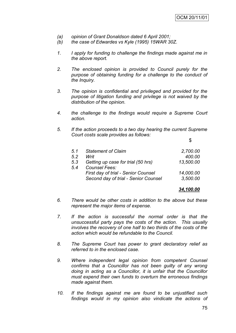- *(a) opinion of Grant Donaldson dated 6 April 2001;*
- *(b) the case of Edwardes vs Kyle (1995) 15WAR 30Z.*
- *1. I apply for funding to challenge the findings made against me in the above report.*
- *2. The enclosed opinion is provided to Council purely for the purpose of obtaining funding for a challenge to the conduct of the Inquiry.*
- *3. The opinion is confidential and privileged and provided for the purpose of litigation funding and privilege is not waived by the distribution of the opinion.*
- *4. the challenge to the findings would require a Supreme Court action.*
- *5. If the action proceeds to a two day hearing the current Supreme Court costs scale provides as follows:*

\$

| 5.1 | <b>Statement of Claim</b>                  | 2,700.00  |
|-----|--------------------------------------------|-----------|
| 52  | Writ                                       | 400.00    |
| 5.3 | Getting up case for trial (50 hrs)         | 13,500.00 |
| 54  | Counsel Fees:                              |           |
|     | <b>First day of trial - Senior Counsel</b> | 14,000.00 |
|     | Second day of trial - Senior Counsel       | 3,500.00  |
|     |                                            |           |

#### *34,100.00*

- *6. There would be other costs in addition to the above but these represent the major items of expense.*
- *7. If the action is successful the normal order is that the unsuccessful party pays the costs of the action. This usually involves the recovery of one half to two thirds of the costs of the action which would be refundable to the Council.*
- *8. The Supreme Court has power to grant declaratory relief as referred to in the enclosed case.*
- *9. Where independent legal opinion from competent Counsel confirms that a Councillor has not been guilty of any wrong doing in acting as a Councillor, it is unfair that the Councillor must expend their own funds to overturn the erroneous findings made against them.*
- *10. If the findings against me are found to be unjustified such findings would in my opinion also vindicate the actions of*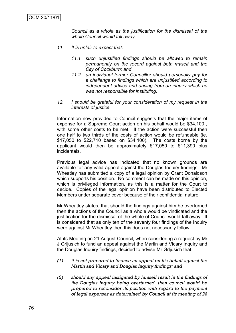*Council as a whole as the justification for the dismissal of the whole Council would fall away.*

- *11. It is unfair to expect that:*
	- *11.1 such unjustified findings should be allowed to remain permanently on the record against both myself and the City of Cockburn; and*
	- *11.2 an individual former Councillor should personally pay for a challenge to findings which are unjustified according to independent advice and arising from an inquiry which he was not responsible for instituting.*
- *12. I should be grateful for your consideration of my request in the interests of justice.*

Information now provided to Council suggests that the major items of expense for a Supreme Court action on his behalf would be \$34,100 , with some other costs to be met. If the action were successful then one half to two thirds of the costs of action would be refundable (ie. \$17,050 to \$22,710 based on \$34,100). The costs borne by the applicant would then be approximately \$17,050 to \$11,390 plus incidentals.

Previous legal advice has indicated that no known grounds are available for any valid appeal against the Douglas Inquiry findings. Mr Wheatley has submitted a copy of a legal opinion by Grant Donaldson which supports his position. No comment can be made on this opinion, which is privileged information, as this is a matter for the Court to decide. Copies of the legal opinion have been distributed to Elected Members under separate cover because of their confidential nature.

Mr Wheatley states, that should the findings against him be overturned then the actions of the Council as a whole would be vindicated and the justification for the dismissal of the whole of Council would fall away. It is considered that as only ten of the seventy four findings of the Inquiry were against Mr Wheatley then this does not necessarily follow.

At its Meeting on 21 August Council, when considering a request by Mr J Grljusich to fund an appeal against the Martin and Vicary Inquiry and the Douglas Inquiry findings, decided to advise Mr Grljusich that:

- *(1) it is not prepared to finance an appeal on his behalf against the Martin and Vicary and Douglas Inquiry findings; and*
- *(2) should any appeal instigated by himself result in the findings of the Douglas Inquiry being overturned, then council would be prepared to reconsider its position with regard to the payment of legal expenses as determined by Council at its meeting of 28*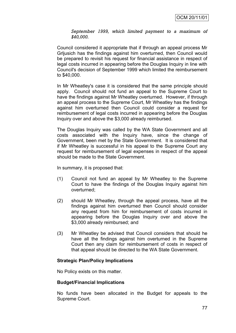#### *September 1999, which limited payment to a maximum of \$40,000.*

Council considered it appropriate that if through an appeal process Mr Grljusich has the findings against him overturned, then Council would be prepared to revisit his request for financial assistance in respect of legal costs incurred in appearing before the Douglas Inquiry in line with Council's decision of September 1999 which limited the reimbursement to \$40,000.

In Mr Wheatley's case it is considered that the same principle should apply. Council should not fund an appeal to the Supreme Court to have the findings against Mr Wheatley overturned. However, if through an appeal process to the Supreme Court, Mr Wheatley has the findings against him overturned then Council could consider a request for reimbursement of legal costs incurred in appearing before the Douglas Inquiry over and above the \$3,000 already reimbursed.

The Douglas Inquiry was called by the WA State Government and all costs associated with the Inquiry have, since the change of Government, been met by the State Government. It is considered that if Mr Wheatley is successful in his appeal to the Supreme Court any request for reimbursement of legal expenses in respect of the appeal should be made to the State Government.

In summary, it is proposed that:

- (1) Council not fund an appeal by Mr Wheatley to the Supreme Court to have the findings of the Douglas Inquiry against him overturned;
- (2) should Mr Wheatley, through the appeal process, have all the findings against him overturned then Council should consider any request from him for reimbursement of costs incurred in appearing before the Douglas Inquiry over and above the \$3,000 already reimbursed; and
- (3) Mr Wheatley be advised that Council considers that should he have all the findings against him overturned in the Supreme Court then any claim for reimbursement of costs in respect of that appeal should be directed to the WA State Government.

#### **Strategic Plan/Policy Implications**

No Policy exists on this matter.

#### **Budget/Financial Implications**

No funds have been allocated in the Budget for appeals to the Supreme Court.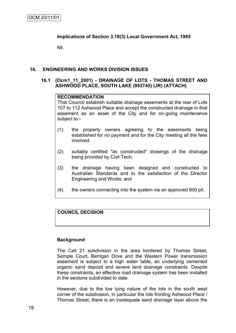# **Implications of Section 3.18(3) Local Government Act, 1995**

Nil.

#### **16. ENGINEERING AND WORKS DIVISION ISSUES**

#### **16.1 (Ocm1\_11\_2001) - DRAINAGE OF LOTS - THOMAS STREET AND ASHWOOD PLACE, SOUTH LAKE (993745) (JR) (ATTACH)**

#### **RECOMMENDATION**

That Council establish suitable drainage easements at the rear of Lots 107 to 112 Ashwood Place and accept the constructed drainage in that easement as an asset of the City and for on-going maintenance subject to:-

- (1) the property owners agreeing to the easements being established for no payment and for the City meeting all the fees involved;
- (2) suitably certified "as constructed" drawings of the drainage being provided by Civil Tech;
- (3) the drainage having been designed and constructed to Australian Standards and to the satisfaction of the Director Engineering and Works; and
- (4) the owners connecting into the system via an approved 600 pit.

#### **COUNCIL DECISION**

#### **Background**

The Cell 21 subdivision in the area bordered by Thomas Street, Semple Court, Berrigan Drive and the Western Power transmission easement is subject to a high water table, an underlying cemented organic sand deposit and severe land drainage constraints. Despite these constraints, an effective road drainage system has been installed in the sections subdivided to date.

However, due to the low lying nature of the lots in the south west corner of the subdivision, in particular the lots fronting Ashwood Place / Thomas Street, there is an inadequate sand drainage layer above the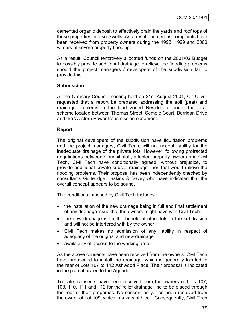cemented organic deposit to effectively drain the yards and roof tops of these properties into soakwells. As a result, numerous complaints have been received from property owners during the 1998, 1999 and 2000 winters of severe property flooding.

As a result, Council tentatively allocated funds on the 2001/02 Budget to possibly provide additional drainage to relieve the flooding problems should the project managers / developers of the subdivision fail to provide this.

#### **Submission**

At the Ordinary Council meeting held on 21st August 2001, Clr Oliver requested that a report be prepared addressing the soil (peat) and drainage problems in the land zoned Residential under the local scheme located between Thomas Street, Semple Court, Berrigan Drive and the Western Power transmission easement.

#### **Report**

The original developers of the subdivision have liquidation problems and the project managers, Civil Tech, will not accept liability for the inadequate drainage of the private lots. However, following protracted negotiations between Council staff, affected property owners and Civil Tech, Civil Tech have conditionally agreed, without prejudice, to provide additional private subsoil drainage lines that would relieve the flooding problems. Their proposal has been independently checked by consultants Gutteridge Haskins & Davey who have indicated that the overall concept appears to be sound.

The conditions imposed by Civil Tech includes:

- the installation of the new drainage being in full and final settlement of any drainage issue that the owners might have with Civil Tech.
- the new drainage is for the benefit of other lots in the subdivision and will not be interfered with by the owner.
- Civil Tech makes no admission of any liability in respect of adequacy of the original and new drainage.
- availability of access to the working area.

As the above consents have been received from the owners, Civil Tech have proceeded to install the drainage, which is generally located to the rear of Lots 107 to 112 Ashwood Place. Their proposal is indicated in the plan attached to the Agenda.

To date, consents have been received from the owners of Lots 107, 108, 110, 111 and 112 for the relief drainage line to be placed through the rear of their properties. No consent as yet as been received from the owner of Lot 109, which is a vacant block. Consequently, Civil Tech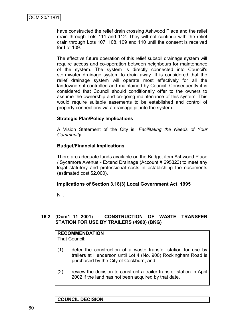have constructed the relief drain crossing Ashwood Place and the relief drain through Lots 111 and 112. They will not continue with the relief drain through Lots 107, 108, 109 and 110 until the consent is received for Lot 109.

The effective future operation of this relief subsoil drainage system will require access and co-operation between neighbours for maintenance of the system. The system is directly connected into Council's stormwater drainage system to drain away. It is considered that the relief drainage system will operate most effectively for all the landowners if controlled and maintained by Council. Consequently it is considered that Council should conditionally offer to the owners to assume the ownership and on-going maintenance of this system. This would require suitable easements to be established and control of property connections via a drainage pit into the system.

#### **Strategic Plan/Policy Implications**

A Vision Statement of the City is: *Facilitating the Needs of Your Community.*

#### **Budget/Financial Implications**

There are adequate funds available on the Budget item Ashwood Place / Sycamore Avenue - Extend Drainage (Account # 695323) to meet any legal statutory and professional costs in establishing the easements (estimated cost \$2,000).

#### **Implications of Section 3.18(3) Local Government Act, 1995**

Nil.

#### **16.2 (Ocm1\_11\_2001) - CONSTRUCTION OF WASTE TRANSFER STATION FOR USE BY TRAILERS (4900) (BKG)**

#### **RECOMMENDATION** That Council:

(1) defer the construction of a waste transfer station for use by trailers at Henderson until Lot 4 (No. 900) Rockingham Road is purchased by the City of Cockburn; and

(2) review the decision to construct a trailer transfer station in April 2002 if the land has not been acquired by that date.

#### **COUNCIL DECISION**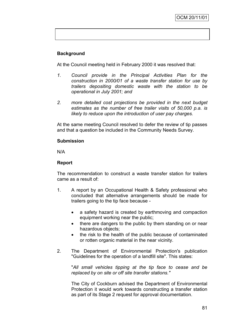# **Background**

At the Council meeting held in February 2000 it was resolved that:

- *1. Council provide in the Principal Activities Plan for the construction in 2000/01 of a waste transfer station for use by trailers depositing domestic waste with the station to be operational in July 2001; and*
- *2. more detailed cost projections be provided in the next budget estimates as the number of free trailer visits of 50,000 p.a. is likely to reduce upon the introduction of user pay charges.*

At the same meeting Council resolved to defer the review of tip passes and that a question be included in the Community Needs Survey.

#### **Submission**

N/A

#### **Report**

The recommendation to construct a waste transfer station for trailers came as a result of:

- 1. A report by an Occupational Health & Safety professional who concluded that alternative arrangements should be made for trailers going to the tip face because
	- a safety hazard is created by earthmoving and compaction equipment working near the public;
	- there are dangers to the public by them standing on or near hazardous objects;
	- the risk to the health of the public because of contaminated or rotten organic material in the near vicinity.
- 2. The Department of Environmental Protection's publication "Guidelines for the operation of a landfill site". This states:

"*All small vehicles tipping at the tip face to cease and be replaced by on site or off site transfer stations."*

The City of Cockburn advised the Department of Environmental Protection it would work towards constructing a transfer station as part of its Stage 2 request for approval documentation.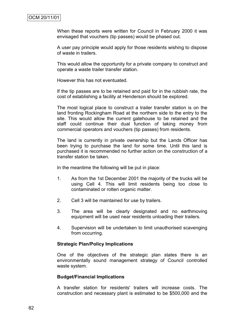When these reports were written for Council in February 2000 it was envisaged that vouchers (tip passes) would be phased out.

A user pay principle would apply for those residents wishing to dispose of waste in trailers.

This would allow the opportunity for a private company to construct and operate a waste trailer transfer station.

However this has not eventuated.

If the tip passes are to be retained and paid for in the rubbish rate, the cost of establishing a facility at Henderson should be explored.

The most logical place to construct a trailer transfer station is on the land fronting Rockingham Road at the northern side to the entry to the site. This would allow the current gatehouse to be retained and the staff could continue their dual function of taking money from commercial operators and vouchers (tip passes) from residents.

The land is currently in private ownership but the Lands Officer has been trying to purchase the land for some time. Until this land is purchased it is recommended no further action on the construction of a transfer station be taken.

In the meantime the following will be put in place:

- 1. As from the 1st December 2001 the majority of the trucks will be using Cell 4. This will limit residents being too close to contaminated or rotten organic matter.
- 2. Cell 3 will be maintained for use by trailers.
- 3. The area will be clearly designated and no earthmoving equipment will be used near residents unloading their trailers.
- 4. Supervision will be undertaken to limit unauthorised scavenging from occurring.

#### **Strategic Plan/Policy Implications**

One of the objectives of the strategic plan states there is an environmentally sound management strategy of Council controlled waste system.

#### **Budget/Financial Implications**

A transfer station for residents' trailers will increase costs. The construction and necessary plant is estimated to be \$500,000 and the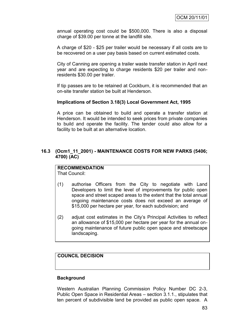annual operating cost could be \$500,000. There is also a disposal charge of \$39.00 per tonne at the landfill site.

A charge of \$20 - \$25 per trailer would be necessary if all costs are to be recovered on a user pay basis based on current estimated costs.

City of Canning are opening a trailer waste transfer station in April next year and are expecting to charge residents \$20 per trailer and nonresidents \$30.00 per trailer.

If tip passes are to be retained at Cockburn, it is recommended that an on-site transfer station be built at Henderson.

#### **Implications of Section 3.18(3) Local Government Act, 1995**

A price can be obtained to build and operate a transfer station at Henderson. It would be intended to seek prices from private companies to build and operate the facility. The tender could also allow for a facility to be built at an alternative location.

#### **16.3 (Ocm1\_11\_2001) - MAINTENANCE COSTS FOR NEW PARKS (5406; 4700) (AC)**

# **RECOMMENDATION**

That Council:

- (1) authorise Officers from the City to negotiate with Land Developers to limit the level of improvements for public open space and street scaped areas to the extent that the total annual ongoing maintenance costs does not exceed an average of \$15,000 per hectare per year, for each subdivision; and
- (2) adjust cost estimates in the City"s Principal Activities to reflect an allowance of \$15,000 per hectare per year for the annual ongoing maintenance of future public open space and streetscape landscaping.

### **COUNCIL DECISION**

#### **Background**

Western Australian Planning Commission Policy Number DC 2-3, Public Open Space in Residential Areas – section 3.1.1., stipulates that ten percent of subdivisible land be provided as public open space. A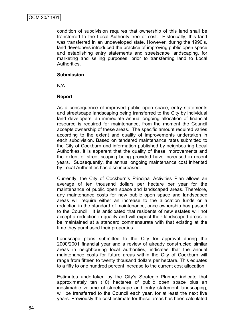condition of subdivision requires that ownership of this land shall be transferred to the Local Authority free of cost. Historically, this land was transferred in an undeveloped state. However, during the 1990"s, land developers introduced the practice of improving public open space and establishing entry statements and streetscape landscaping, for marketing and selling purposes, prior to transferring land to Local Authorities.

#### **Submission**

N/A

#### **Report**

As a consequence of improved public open space, entry statements and streetscape landscaping being transferred to the City by individual land developers, an immediate annual ongoing allocation of financial resource is required for maintenance, from the moment the Council accepts ownership of these areas. The specific amount required varies according to the extent and quality of improvements undertaken in each subdivision. Based on tendered maintenance rates submitted to the City of Cockburn and information published by neighbouring Local Authorities, it is apparent that the quality of these improvements and the extent of street scaping being provided have increased in recent years. Subsequently, the annual ongoing maintenance cost inherited by Local Authorities has also increased.

Currently, the City of Cockburn"s Principal Activities Plan allows an average of ten thousand dollars per hectare per year for the maintenance of public open space and landscaped areas. Therefore, any maintenance costs for new public open space and landscaped areas will require either an increase to the allocation funds or a reduction in the standard of maintenance, once ownership has passed to the Council. It is anticipated that residents of new estates will not accept a reduction in quality and will expect their landscaped areas to be maintained at a standard commensurate with that existing at the time they purchased their properties.

Landscape plans submitted to the City for approval during the 2000/2001 financial year and a review of already constructed similar areas in neighbouring local authorities, indicates that the annual maintenance costs for future areas within the City of Cockburn will range from fifteen to twenty thousand dollars per hectare. This equates to a fifty to one hundred percent increase to the current cost allocation.

Estimates undertaken by the City"s Strategic Planner indicate that approximately ten (10) hectares of public open space plus an inestimable volume of streetscape and entry statement landscaping, will be transferred to the Council each year, for at least the next five years. Previously the cost estimate for these areas has been calculated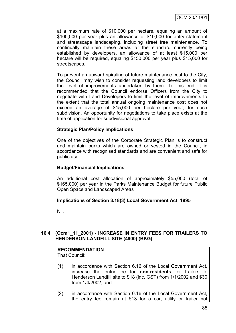at a maximum rate of \$10,000 per hectare, equaling an amount of \$100,000 per year plus an allowance of \$10,000 for entry statement and streetscape landscaping, including street tree maintenance. To continually maintain these areas at the standard currently being established by developers, an allowance of at least \$15,000 per hectare will be required, equaling \$150,000 per year plus \$15,000 for streetscapes.

To prevent an upward spiraling of future maintenance cost to the City, the Council may wish to consider requesting land developers to limit the level of improvements undertaken by them. To this end, it is recommended that the Council endorse Officers from the City to negotiate with Land Developers to limit the level of improvements to the extent that the total annual ongoing maintenance cost does not exceed an average of \$15,000 per hectare per year, for each subdivision. An opportunity for negotiations to take place exists at the time of application for subdivisional approval.

#### **Strategic Plan/Policy Implications**

One of the objectives of the Corporate Strategic Plan is to construct and maintain parks which are owned or vested in the Council, in accordance with recognised standards and are convenient and safe for public use.

#### **Budget/Financial Implications**

An additional cost allocation of approximately \$55,000 (total of \$165,000) per year in the Parks Maintenance Budget for future Public Open Space and Landscaped Areas

#### **Implications of Section 3.18(3) Local Government Act, 1995**

Nil.

#### **16.4 (Ocm1\_11\_2001) - INCREASE IN ENTRY FEES FOR TRAILERS TO HENDERSON LANDFILL SITE (4900) (BKG)**

# **RECOMMENDATION**

That Council:

- (1) in accordance with Section 6.16 of the Local Government Act, increase the entry fee for **non-residents** for trailers to Henderson Landfill site to \$18 (inc. GST) from 1/1/2002 and \$30 from 1/4/2002; and
- (2) in accordance with Section 6.16 of the Local Government Act, the entry fee remain at \$13 for a car, utility or trailer not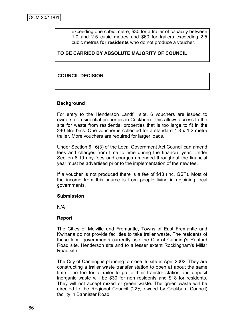exceeding one cubic metre, \$30 for a trailer of capacity between 1.0 and 2.5 cubic metres and \$60 for trailers exceeding 2.5 cubic metres **for residents** who do not produce a voucher.

# **TO BE CARRIED BY ABSOLUTE MAJORITY OF COUNCIL**

# **COUNCIL DECISION**

#### **Background**

For entry to the Henderson Landfill site, 6 vouchers are issued to owners of residential properties in Cockburn. This allows access to the site for waste from residential properties that is too large to fit in the 240 litre bins. One voucher is collected for a standard 1.8 x 1.2 metre trailer. More vouchers are required for larger loads.

Under Section 6.16(3) of the Local Government Act Council can amend fees and charges from time to time during the financial year. Under Section 6.19 any fees and charges amended throughout the financial year must be advertised prior to the implementation of the new fee.

If a voucher is not produced there is a fee of \$13 (inc. GST). Most of the income from this source is from people living in adjoining local governments.

#### **Submission**

N/A

#### **Report**

The Cities of Melville and Fremantle, Towns of East Fremantle and Kwinana do not provide facilities to take trailer waste. The residents of these local governments currently use the City of Canning's Ranford Road site, Henderson site and to a lesser extent Rockingham's Millar Road site.

The City of Canning is planning to close its site in April 2002. They are constructing a trailer waste transfer station to open at about the same time. The fee for a trailer to go to their transfer station and deposit inorganic waste will be \$30 for non residents and \$18 for residents. They will not accept mixed or green waste. The green waste will be directed to the Regional Council (22% owned by Cockburn Council) facility in Bannister Road.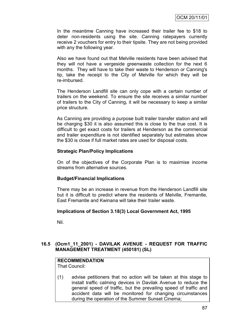In the meantime Canning have increased their trailer fee to \$18 to deter non-residents using the site. Canning ratepayers currently receive 2 vouchers for entry to their tipsite. They are not being provided with any the following year.

Also we have found out that Melville residents have been advised that they will not have a vergeside greenwaste collection for the next 6 months. They will have to take their waste to Henderson or Canning's tip, take the receipt to the City of Melville for which they will be re-imbursed.

The Henderson Landfill site can only cope with a certain number of trailers on the weekend. To ensure the site receives a similar number of trailers to the City of Canning, it will be necessary to keep a similar price structure.

As Canning are providing a purpose built trailer transfer station and will be charging \$30 it is also assumed this is close to the true cost. It is difficult to get exact costs for trailers at Henderson as the commercial and trailer expenditure is not identified separately but estimates show the \$30 is close if full market rates are used for disposal costs.

#### **Strategic Plan/Policy Implications**

On of the objectives of the Corporate Plan is to maximise income streams from alternative sources.

# **Budget/Financial Implications**

There may be an increase in revenue from the Henderson Landfill site but it is difficult to predict where the residents of Melville, Fremantle, East Fremantle and Kwinana will take their trailer waste.

#### **Implications of Section 3.18(3) Local Government Act, 1995**

Nil.

#### **16.5 (Ocm1\_11\_2001) - DAVILAK AVENUE - REQUEST FOR TRAFFIC MANAGEMENT TREATMENT (450181) (SL)**

#### **RECOMMENDATION**

That Council:

(1) advise petitioners that no action will be taken at this stage to install traffic calming devices in Davilak Avenue to reduce the general speed of traffic, but the prevailing speed of traffic and accident data will be monitored for changing circumstances during the operation of the Summer Sunset Cinema;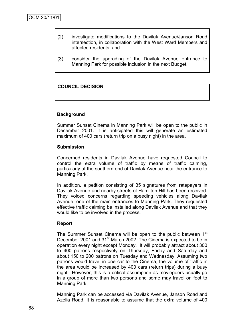- (2) investigate modifications to the Davilak Avenue/Janson Road intersection, in collaboration with the West Ward Members and affected residents; and
- (3) consider the upgrading of the Davilak Avenue entrance to Manning Park for possible inclusion in the next Budget.

#### **COUNCIL DECISION**

#### **Background**

Summer Sunset Cinema in Manning Park will be open to the public in December 2001. It is anticipated this will generate an estimated maximum of 400 cars (return trip on a busy night) in the area.

#### **Submission**

Concerned residents in Davilak Avenue have requested Council to control the extra volume of traffic by means of traffic calming, particularly at the southern end of Davilak Avenue near the entrance to Manning Park.

In addition, a petition consisting of 35 signatures from ratepayers in Davilak Avenue and nearby streets of Hamilton Hill has been received. They voiced concerns regarding speeding vehicles along Davilak Avenue, one of the main entrances to Manning Park. They requested effective traffic calming be installed along Davilak Avenue and that they would like to be involved in the process.

#### **Report**

The Summer Sunset Cinema will be open to the public between 1<sup>st</sup> December 2001 and 31<sup>st</sup> March 2002. The Cinema is expected to be in operation every night except Monday. It will probably attract about 300 to 400 patrons respectively on Thursday, Friday and Saturday and about 150 to 200 patrons on Tuesday and Wednesday. Assuming two patrons would travel in one car to the Cinema, the volume of traffic in the area would be increased by 400 cars (return trips) during a busy night. However, this is a critical assumption as moviegoers usually go in a group of more than two persons and some may travel on foot to Manning Park.

Manning Park can be accessed via Davilak Avenue, Janson Road and Azelia Road. It is reasonable to assume that the extra volume of 400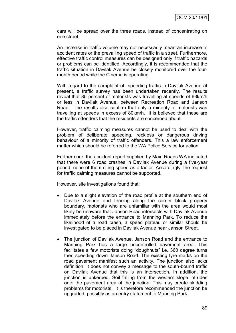cars will be spread over the three roads, instead of concentrating on one street.

An increase in traffic volume may not necessarily mean an increase in accident rates or the prevailing speed of traffic in a street. Furthermore, effective traffic control measures can be designed only if traffic hazards or problems can be identified. Accordingly, it is recommended that the traffic situation in Davilak Avenue be closely monitored over the fourmonth period while the Cinema is operating.

With regard to the complaint of speeding traffic in Davilak Avenue at present, a traffic survey has been undertaken recently. The results reveal that 85 percent of motorists was travelling at speeds of 63km/h or less in Davilak Avenue, between Recreation Road and Janson Road. The results also confirm that only a minority of motorists was travelling at speeds in excess of 80km/h. It is believed that these are the traffic offenders that the residents are concerned about.

However, traffic calming measures cannot be used to deal with the problem of deliberate speeding, reckless or dangerous driving behaviour of a minority of traffic offenders. This a law enforcement matter which should be referred to the WA Police Service for action.

Furthermore, the accident report supplied by Main Roads WA indicated that there were 6 road crashes in Davilak Avenue during a five-year period, none of them citing speed as a factor. Accordingly, the request for traffic calming measures cannot be supported.

However, site investigations found that:

- Due to a slight elevation of the road profile at the southern end of Davilak Avenue and fencing along the corner block property boundary, motorists who are unfamiliar with the area would most likely be unaware that Janson Road intersects with Davilak Avenue immediately before the entrance to Manning Park. To reduce the likelihood of a road crash, a speed plateau or similar should be investigated to be placed in Davilak Avenue near Janson Street.
- The junction of Davilak Avenue, Janson Road and the entrance to Manning Park has a large uncontrolled pavement area. This facilitates a few motorists doing "doughnuts" i.e. 360 degree turns then speeding down Janson Road. The existing tyre marks on the road pavement manifest such an activity. The junction also lacks definition. It does not convey a message to the south-bound traffic on Davilak Avenue that this is an intersection. In addition, the junction is unkerbed. Soil falling from the western slope intrudes onto the pavement area of the junction. This may create skidding problems for motorists. It is therefore recommended the junction be upgraded, possibly as an entry statement to Manning Park.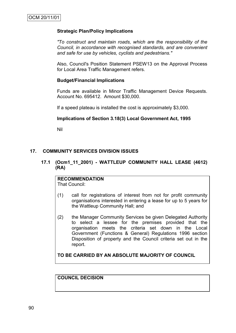#### **Strategic Plan/Policy Implications**

*"To construct and maintain roads, which are the responsibility of the Council, in accordance with recognised standards, and are convenient and safe for use by vehicles, cyclists and pedestrians."*

Also, Council's Position Statement PSEW13 on the Approval Process for Local Area Traffic Management refers.

#### **Budget/Financial Implications**

Funds are available in Minor Traffic Management Device Requests. Account No. 695412. Amount \$30,000.

If a speed plateau is installed the cost is approximately \$3,000.

#### **Implications of Section 3.18(3) Local Government Act, 1995**

Nil

#### **17. COMMUNITY SERVICES DIVISION ISSUES**

**17.1 (Ocm1\_11\_2001) - WATTLEUP COMMUNITY HALL LEASE (4612) (RA)**

# **RECOMMENDATION**

That Council:

- (1) call for registrations of interest from not for profit community organisations interested in entering a lease for up to 5 years for the Wattleup Community Hall; and
- (2) the Manager Community Services be given Delegated Authority to select a lessee for the premises provided that the organisation meets the criteria set down in the Local Government (Functions & General) Regulations 1996 section Disposition of property and the Council criteria set out in the report.

**TO BE CARRIED BY AN ABSOLUTE MAJORITY OF COUNCIL**

**COUNCIL DECISION**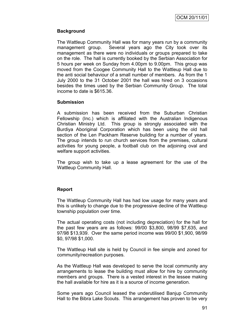# **Background**

The Wattleup Community Hall was for many years run by a community management group. Several years ago the City took over its management as there were no individuals or groups prepared to take on the role. The hall is currently booked by the Serbian Association for 5 hours per week on Sunday from 4.00pm to 9.00pm. This group was moved from the Coogee Community Hall to the Wattleup Hall due to the anti social behaviour of a small number of members. As from the 1 July 2000 to the 31 October 2001 the hall was hired on 3 occasions besides the times used by the Serbian Community Group. The total income to date is \$615.36.

#### **Submission**

A submission has been received from the Suburban Christian Fellowship (Inc.) which is affiliated with the Australian Indigenous Christian Ministry Ltd. This group is strongly associated with the Burdiya Aboriginal Corporation which has been using the old hall section of the Len Packham Reserve building for a number of years. The group intends to run church services from the premises, cultural activities for young people, a football club on the adjoining oval and welfare support activities.

The group wish to take up a lease agreement for the use of the Wattleup Community Hall.

# **Report**

The Wattleup Community Hall has had low usage for many years and this is unlikely to change due to the progressive decline of the Wattleup township population over time.

The actual operating costs (not including depreciation) for the hall for the past few years are as follows: 99/00 \$3,800, 98/99 \$7,635, and 97/98 \$13,939. Over the same period income was 99/00 \$1,900, 98/99 \$0, 97/98 \$1,000.

The Wattleup Hall site is held by Council in fee simple and zoned for community/recreation purposes.

As the Wattleup Hall was developed to serve the local community any arrangements to lease the building must allow for hire by community members and groups. There is a vested interest in the lessee making the hall available for hire as it is a source of income generation.

Some years ago Council leased the underutilised Banjup Community Hall to the Bibra Lake Scouts. This arrangement has proven to be very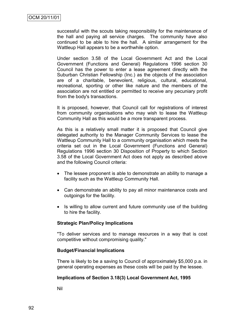successful with the scouts taking responsibility for the maintenance of the hall and paying all service charges. The community have also continued to be able to hire the hall. A similar arrangement for the Wattleup Hall appears to be a worthwhile option.

Under section 3.58 of the Local Government Act and the Local Government (Functions and General) Regulations 1996 section 30 Council has the power to enter a lease agreement directly with the Suburban Christian Fellowship (Inc.) as the objects of the association are of a charitable, benevolent, religious, cultural, educational, recreational, sporting or other like nature and the members of the association are not entitled or permitted to receive any pecuniary profit from the body's transactions.

It is proposed, however, that Council call for registrations of interest from community organisations who may wish to lease the Wattleup Community Hall as this would be a more transparent process.

As this is a relatively small matter it is proposed that Council give delegated authority to the Manager Community Services to lease the Wattleup Community Hall to a community organisation which meets the criteria set out in the Local Government (Functions and General) Regulations 1996 section 30 Disposition of Property to which Section 3.58 of the Local Government Act does not apply as described above and the following Council criteria:

- The lessee proponent is able to demonstrate an ability to manage a facility such as the Wattleup Community Hall.
- Can demonstrate an ability to pay all minor maintenance costs and outgoings for the facility.
- Is willing to allow current and future community use of the building to hire the facility.

#### **Strategic Plan/Policy Implications**

"To deliver services and to manage resources in a way that is cost competitive without compromising quality."

#### **Budget/Financial Implications**

There is likely to be a saving to Council of approximately \$5,000 p.a. in general operating expenses as these costs will be paid by the lessee.

#### **Implications of Section 3.18(3) Local Government Act, 1995**

Nil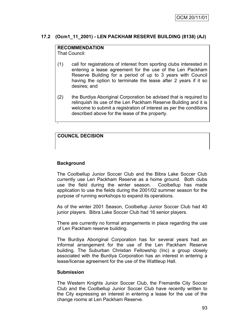# **17.2 (Ocm1\_11\_2001) - LEN PACKHAM RESERVE BUILDING (8138) (AJ)**

# **RECOMMENDATION**

That Council:

- (1) call for registrations of interest from sporting clubs interested in entering a lease agreement for the use of the Len Packham Reserve Building for a period of up to 3 years with Council having the option to terminate the lease after 2 years if it so desires; and
- (2) the Burdiya Aboriginal Corporation be advised that is required to relinquish its use of the Len Packham Reserve Building and it is welcome to submit a registration of interest as per the conditions described above for the lease of the property.

# **COUNCIL DECISION**

#### **Background**

`

The Coolbellup Junior Soccer Club and the Bibra Lake Soccer Club currently use Len Packham Reserve as a home ground. Both clubs use the field during the winter season. Coolbellup has made application to use the fields during the 2001/02 summer season for the purpose of running workshops to expand its operations.

As of the winter 2001 Season, Coolbellup Junior Soccer Club had 40 junior players. Bibra Lake Soccer Club had 16 senior players.

There are currently no formal arrangements in place regarding the use of Len Packham reserve building.

The Burdiya Aboriginal Corporation has for several years had an informal arrangement for the use of the Len Packham Reserve building. The Suburban Christian Fellowship (Inc) a group closely associated with the Burdiya Corporation has an interest in entering a lease/license agreement for the use of the Wattleup Hall.

#### **Submission**

The Western Knights Junior Soccer Club, the Fremantle City Soccer Club and the Coolbellup Junior Soccer Club have recently written to the City expressing an interest in entering a lease for the use of the change rooms at Len Packham Reserve.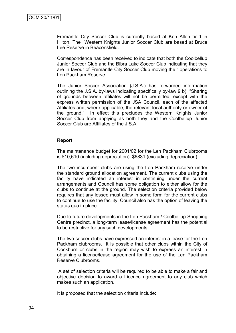Fremantle City Soccer Club is currently based at Ken Allen field in Hilton. The Western Knights Junior Soccer Club are based at Bruce Lee Reserve in Beaconsfield.

Correspondence has been received to indicate that both the Coolbellup Junior Soccer Club and the Bibra Lake Soccer Club indicating that they are in favour of Fremantle City Soccer Club moving their operations to Len Packham Reserve.

The Junior Soccer Association (J.S.A.) has forwarded information outlining the J.S.A. by-laws indicating specifically by-law 9 b) "Sharing of grounds between affiliates will not be permitted, except with the express written permission of the JSA Council, each of the affected Affiliates and, where applicable, the relevant local authority or owner of the ground." In effect this precludes the Western Knights Junior Soccer Club from applying as both they and the Coolbellup Junior Soccer Club are Affiliates of the J.S.A.

#### **Report**

The maintenance budget for 2001/02 for the Len Packham Clubrooms is \$10,610 (including depreciation), \$6831 (excluding depreciation).

The two incumbent clubs are using the Len Packham reserve under the standard ground allocation agreement. The current clubs using the facility have indicated an interest in continuing under the current arrangements and Council has some obligation to either allow for the clubs to continue at the ground. The selection criteria provided below requires that any lessee must allow in some form for the current clubs to continue to use the facility. Council also has the option of leaving the status quo in place.

Due to future developments in the Len Packham / Coolbellup Shopping Centre precinct, a long-term lease/license agreement has the potential to be restrictive for any such developments.

The two soccer clubs have expressed an interest in a lease for the Len Packham clubrooms. It is possible that other clubs within the City of Cockburn or clubs in the region may wish to express an interest in obtaining a license/lease agreement for the use of the Len Packham Reserve Clubrooms.

A set of selection criteria will be required to be able to make a fair and objective decision to award a Licence agreement to any club which makes such an application.

It is proposed that the selection criteria include: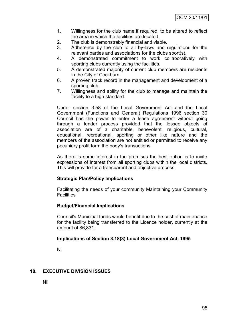- 1. Willingness for the club name if required, to be altered to reflect the area in which the facilities are located.
- 2. The club is demonstrably financial and viable.
- 3. Adherence by the club to all by-laws and regulations for the relevant parties and associations for the clubs sport(s).
- 4. A demonstrated commitment to work collaboratively with sporting clubs currently using the facilities.
- 5. A demonstrated majority of current club members are residents in the City of Cockburn.
- 6. A proven track record in the management and development of a sporting club.
- 7. Willingness and ability for the club to manage and maintain the facility to a high standard.

Under section 3.58 of the Local Government Act and the Local Government (Functions and General) Regulations 1996 section 30 Council has the power to enter a lease agreement without going through a tender process provided that the lessee objects of association are of a charitable, benevolent, religious, cultural, educational, recreational, sporting or other like nature and the members of the association are not entitled or permitted to receive any pecuniary profit form the body"s transactions.

As there is some interest in the premises the best option is to invite expressions of interest from all sporting clubs within the local districts. This will provide for a transparent and objective process.

# **Strategic Plan/Policy Implications**

Facilitating the needs of your community Maintaining your Community **Facilities** 

# **Budget/Financial Implications**

Council's Municipal funds would benefit due to the cost of maintenance for the facility being transferred to the Licence holder, currently at the amount of \$6,831.

#### **Implications of Section 3.18(3) Local Government Act, 1995**

Nil

# **18. EXECUTIVE DIVISION ISSUES**

Nil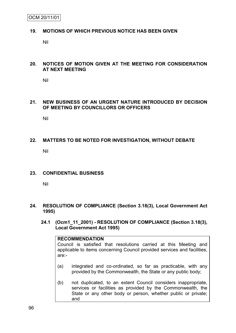#### **19. MOTIONS OF WHICH PREVIOUS NOTICE HAS BEEN GIVEN**

Nil

#### **20. NOTICES OF MOTION GIVEN AT THE MEETING FOR CONSIDERATION AT NEXT MEETING**

Nil

#### **21. NEW BUSINESS OF AN URGENT NATURE INTRODUCED BY DECISION OF MEETING BY COUNCILLORS OR OFFICERS**

Nil

# **22. MATTERS TO BE NOTED FOR INVESTIGATION, WITHOUT DEBATE**

Nil

#### **23. CONFIDENTIAL BUSINESS**

Nil

#### **24. RESOLUTION OF COMPLIANCE (Section 3.18(3), Local Government Act 1995)**

**24.1 (Ocm1\_11\_2001) - RESOLUTION OF COMPLIANCE (Section 3.18(3), Local Government Act 1995)**

#### **RECOMMENDATION**

Council is satisfied that resolutions carried at this Meeting and applicable to items concerning Council provided services and facilities, are:-

- (a) integrated and co-ordinated, so far as practicable, with any provided by the Commonwealth, the State or any public body;
- (b) not duplicated, to an extent Council considers inappropriate, services or facilities as provided by the Commonwealth, the State or any other body or person, whether public or private; and